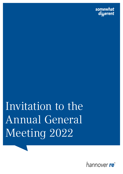somewhat diuerent

Invitation to the Annual General Meeting 2022

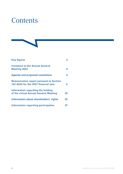# **Contents**

| <b>Key figures</b>                                                                     |    |
|----------------------------------------------------------------------------------------|----|
| <b>Invitation to the Annual General</b><br><b>Meeting 2022</b>                         | 4  |
| <b>Agenda and proposed resolutions</b>                                                 | 4  |
| <b>Remuneration report pursuant to Section</b><br>162 AktG for the 2021 financial year | 6  |
| Information regarding the holding<br>of the virtual Annual General Meeting             | 35 |
| Information about shareholders' rights                                                 | 35 |
| Information regarding participation                                                    | 37 |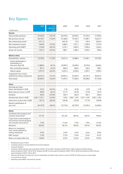## <span id="page-2-0"></span>Key figures

|                                                                                                         | 2021                | $+/-$    | 20201             | 2019                 | 2018           | 2017           |
|---------------------------------------------------------------------------------------------------------|---------------------|----------|-------------------|----------------------|----------------|----------------|
| in EUR million                                                                                          |                     | previous |                   |                      |                |                |
| <b>Results</b>                                                                                          |                     | year     |                   |                      |                |                |
|                                                                                                         |                     |          |                   |                      |                | 17,790.5       |
| Gross written premium                                                                                   | 27,762.3            | $+12.1%$ | 24,770.3          | 22,597.6<br>19,729.7 | 19,176.4       |                |
| Net premium earned                                                                                      | 24,143.7            | $+13.0%$ | 21,360.8          |                      | 17,289.1       | 15,631.7       |
| Net underwriting result <sup>2</sup>                                                                    | (211.1)             |          | (691.0)           | (9.7)                | 156.9          | (253.6)        |
| Net investment income                                                                                   | 1,943.0             | $+15.3%$ | 1,685.5           | 1,757.1              | 1,530.0        | 1,773.9        |
| Operating profit (EBIT)                                                                                 | 1,734.8             | $+42.9%$ | 1,214.1           | 1,853.2              | 1,596.6        | 1,364.4        |
| Group net income                                                                                        | 1,231.3             | $+39.4%$ | 883.1             | 1,284.2              | 1,059.5        | 958.6          |
| <b>Balance sheet</b>                                                                                    |                     |          |                   |                      |                |                |
| Policyholders' surplus                                                                                  | 15,733.6            | $+11.8%$ | 14,071.0          | 13,588.9             | 11,035.1       | 10,778.5       |
| Equity attributable to<br>shareholders of<br>Hannover Rück SE                                           | 11,885.0            | $+8.1%$  | 10,995.0          | 10,528.0             | 8,776.8        | 8,528.5        |
| Non-controlling interests                                                                               | 871.2               | $+3.2%$  | 844.4             | 826.5                | 765.2          | 758.1          |
| Hybrid capital                                                                                          | 2,977.4             | $+33.4%$ | 2,231.6           | 2,234.4              | 1,493.1        | 1,492.0        |
| Investments (excl. funds                                                                                |                     |          |                   |                      |                |                |
| withheld by ceding companies)                                                                           | 56,213.2            | $+14.7%$ | 49,001.6          | 47,629.4             | 42,197.3       | 40,057.5       |
| Total assets                                                                                            | 82,902.3            | $+16.0%$ | 71,437.5          | 71,356.4             | 64,508.6       | 61,196.8       |
| Share                                                                                                   |                     |          |                   |                      |                |                |
| Earnings per share<br>(basic and diluted) in EUR                                                        | 10.21               | $+39.4%$ | 7.32              | 10.65                | 8.79           | 7.95           |
| Book value per share in EUR                                                                             | 98.55               | $+8.1%$  | 91.17             | 87.30                | 72.78          | 70.72          |
| Dividend                                                                                                | 693.4               | $+27.8%$ | 542.7             | 663.3                | 633.1          | 603.0          |
| Dividend per share in EUR                                                                               | $4.50 + 1.25^{3,4}$ | $+27.8%$ | 4.50 <sup>4</sup> | $4.00 + 1.504$       | $3.75 + 1.504$ | $3.50 + 1.504$ |
| Share price at year-end in EUR                                                                          | 167.15              | $+28.3%$ | 130.30            | 172.30               | 117.70         | 104.90         |
| Market capitalisation at<br>year-end                                                                    | 20,157.8            | $+28.3%$ | 15,713.8          | 20,778.9             | 14,194.3       | 12,650.6       |
| Ratios                                                                                                  |                     |          |                   |                      |                |                |
| Combined ratio (property and<br>casualty reinsurance) <sup>2</sup>                                      | 97.7%               |          | 101.6%            | 98.2%                | 96.5%          | 99.8%          |
| Large losses as percentage of<br>net premium earned (property<br>and casualty reinsurance) <sup>5</sup> | 7.5%                |          | 11.2%             | 7.5%                 | 7.9%           | 12.3%          |
| Retention                                                                                               | 89.5%               |          | 90.1%             | 90.0%                | 90.7%          | 90.5%          |
| Return on investment<br>(excl. funds withheld by<br>ceding companies)                                   | 3.2%                |          | 3.0%              | 3.5%                 | $3.2\%$        | 3.8%           |
| EBIT margin <sup>6</sup>                                                                                | $7.2\%$             |          | 5.7%              | 9.4%                 | $9.2\%$        | 8.7%           |
| Return on equity (after tax)                                                                            | 10.8%               |          | 8.2%              | 13.3%                | 12.2%          | 10.9%          |

<sup>1</sup> Restated pursuant to IAS 8

<sup>2</sup> Including interest on funds withheld and contract deposits

<sup>3</sup> Proposed dividend

<sup>4</sup> Dividend of EUR 4.50 plus special dividend of EUR 1.25 for 2021, Dividend of EUR 4.50 for 2020, dividend of EUR 4.00 plus special dividend of EUR 1.50 for 2019, dividend of EUR 3.75 plus special dividend of EUR 1.50 for 2018 and dividend of EUR 3.50 plus special dividend of EUR 1.50 for 2017

<sup>5</sup> Hannover Re Group's net share for natural catastrophes and other major losses in excess of EUR 10 million gross as a percentage of net premium earned

<sup>6</sup> Operating result (EBIT)/net premium earned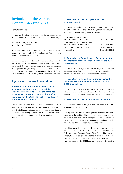## <span id="page-3-0"></span>Invitation to the Annual General Meeting 2022

Dear Shareholders,

We are hereby pleased to invite you to participate in the Annual General Meeting of Hannover Rück SE, Hannover,

### on Wednesday, 4 May 2022, at 11:00 a.m. (CEST),

which is to be held in the form of a virtual Annual General Meeting without the physical attendance of shareholders or their authorised representatives.

The Annual General Meeting will be streamed live online for our shareholders. Shareholders may exercise their voting rights solely by way of postal voting or by granting authority to the proxies designated by the company. The venue of the Annual General Meeting in the meaning of the Stock Corporation Act (AktG) is HDI-Platz 1, 30659 Hannover, Germany.

## Agenda and proposed resolutions

1. Presentation of the adopted annual financial statements and the approved consolidated financial statements as well as the combined management report for Hannover Rück SE and the Group for the 2021 financial year and report of the Supervisory Board

The Supervisory Board has approved the separate annual financial statements prepared by the Executive Board and the consolidated financial statements; the separate annual financial statements are thereby adopted. The Annual General Meeting is consequently not required to adopt a resolution on agenda item 1.

## 2. Resolution on the appropriation of the disposable profit

The Executive and Supervisory boards propose that the disposable profit for the 2021 financial year in an amount of  $\epsilon$  1,258,000,000 be appropriated as follows:

| Distribution of a $\in$ 4.50 dividend<br>on each eligible no-par-value share              | € 542,687,103.00   |
|-------------------------------------------------------------------------------------------|--------------------|
| Distribution of a $\epsilon$ 1.25 special dividend<br>on each eligible no-par-value share | € 150,746,417.50   |
| Profit carried forward to a new account                                                   | € 564,566,479.50   |
| Disposable profit                                                                         | € 1,258,000,000.00 |

## 3. Resolution ratifying the acts of management of the members of the Executive Board for the 2021 financial year

The Executive and Supervisory boards propose that the acts of management of the members of the Executive Board serving in the 2021 financial year be ratified for this period.

### 4. Resolution ratifying the acts of management of the members of the Supervisory Board for the 2021 financial year

The Executive and Supervisory boards propose that the acts of management of the members of the Supervisory Board serving in the 2021 financial year be ratified for this period.

### 5. Resolution on the appointment of the auditor

The Financial Market Integrity Strengthening Act (FISG) came into force on 1 July 2021.

Among other matters, this act stipulates that at (re)insurance companies the auditor of the separate annual or consolidated financial statements – as at other public interest entities – is now to be elected by the shareholders (and no longer by the Supervisory Board, as was previously the case).

For this reason, the Supervisory Board proposes, on the recommendation of its Finance and Audit Committee, that PricewaterhouseCoopers GmbH Wirtschaftsprüfungsgesellschaft, Hanover, be appointed as the auditors of both the separate annual financial statements and the consolidated financial statements for the 2022 financial year, and as the auditors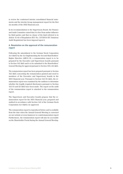to review the condensed interim consolidated financial statements and the interim Group management report for the first six months of the 2022 financial year.

In its recommendation to the Supervisory Board, the Finance and Audit Committee stated that it is free from undue influence by third parties and that no clause of the kind referred to in Article 16 (6) of Regulation (EU) No. 537/2014 (EU Statutory Audit Regulation) has been imposed upon it.

### 6. Resolution on the approval of the remuneration report

Following the amendment to the German Stock Corporation Act (AktG) by the Act Implementing the Second Shareholders' Rights Directive (ARUG II), a remuneration report is to be prepared by the Executive and Supervisory boards pursuant to Section 162 AktG and is to be submitted to the Shareholders' General Meeting for approval pursuant to Section 120 a (4) AktG.

The remuneration report has been prepared pursuant to Section 162 AktG concerning the remuneration granted and owed to members of the Executive and Supervisory boards in the 2021 financial year. Pursuant to Section 162 (3) AktG, the remuneration report was examined by the auditors to determine whether the legally required disclosures pursuant to Section 162 (1) and (2) AktG have been made. The report on the audit of the remuneration report is attached to the remuneration report.

The Supervisory and Executive boards propose that the remuneration report for the 2021 financial year, prepared and audited in accordance with Section 162 of the German Stock Corporation Act (AktG), be approved.

The remuneration report is reproduced below and is available from the date when the Annual General Meeting is convened on our website at [www.hannover-re.com/remuneration-report](https://www.hannover-re.com/1849339/remuneration-report) Furthermore, the remuneration report will also be accessible on the Shareholder Portal during the Annual General Meeting.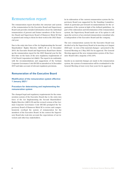## <span id="page-5-0"></span>Remuneration report

The remuneration report describes the structure and system of the remuneration for the Executive Board and Supervisory Board and provides detailed information about the individual remuneration of present and former members of the Executive Board and Supervisory Board of Hannover Rück SE that is granted and owing to them for their work in the 2021 financial year.

Due to the entry into force of the Act Implementing the Second Shareholders' Rights Directive (ARUG II) on 12 December 2019, the Executive Board and Supervisory Board have drawn up the remuneration report for the 2021 financial year for the first time on the basis of the new regulatory requirements of § 162 Stock Corporation Act (AktG). The report is in conformity with the recommendations and suggestions of the German Corporate Governance Code (DCGK) as amended on 16 December 2019 and takes account of relevant regulatory provisions.

## Remuneration of the Executive Board

### Modification of the remuneration system effective 1 January 2021/

### Procedure for determining and implementing the remuneration system

The changed legal and regulatory requirements for the remuneration system of the Executive Board due to the entry into force of the Act Implementing the Second Shareholders' Rights Directive (ARUG II) and the revised version of the German Corporate Governance Code (DCGK) prompted the Supervisory Board of Hannover Rück SE to review and comprehensively overhaul the system of remuneration for the members of the Executive Board. In his context the Supervisory Board also took into account the expectations of our investors and other key stakeholders.

In its elaboration of the current remuneration system the Supervisory Board was supported by the Standing Committee, which in particular put forward recommendations for the organisation of the system in light of the defined guidelines. As part of the elaboration and determination of the remuneration system, the Supervisory Board made use of its option to call upon the services of an external remuneration consultant who is independent of the Executive Board and the company.

The new remuneration system for the Executive Board was decided on by the Supervisory Board at its meeting on 4 August 2020 and – in view of the material changes – presented to the General Meeting on 5 May 2021 for its approval. The General Meeting approved the new remuneration system of the Executive Board with a majority of 85.54%.

Insofar as no material changes are made to the remuneration system, the system of remuneration will be resubmitted to the General Meeting at least every four years for its approval.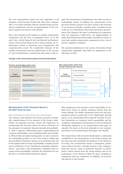The new remuneration system has been applicable to all members of the Executive Board with effect from 1 January 2021. It is in full conformity with the amended legal and regulatory requirements and the recommendations of the German Corporate Governance Code (DCGK).

Due to the reduction in the number of variable remuneration components and the focus on altogether fewer, yet at the same time central financial and non-financial performance criteria derived from Hannover Re's Group strategy, the remuneration system is structured more transparently and comprehensibly overall. The considerable relevance of the variable remuneration and the reinforcement of the concept of "pay-for-performance" remain front and centre in this re-

gard. The measurement of performance also takes account of sustainability criteria. In addition, the remuneration of the Executive Board is geared even more closely to the interests of our investors through a stronger share correlation based on the use of a Performance Share Plan and relative measurement of the Hannover Re share's performance in comparison with our competitors. Furthermore, the implementation of malus und clawback provisions makes it possible to reduce or claw back variable remuneration components in the event of serious compliance violations.

The material modifications to the system of Executive Board remuneration applicable until 2020 are summarised in the following overview:





### Remuneration of the Executive Board in the 2021 financial year

Basic principles for determining the remuneration The strategy of the Hannover Re Group is geared to sustainable outperformance in the interests of the Group's stakeholders (in particular investors, clients and employees). In remunerating the Executive Board our focus is therefore on the principles of continuity, financial strength and profitability. With a rigorous underwriting policy, partnership-based customer relationships, a lean operating model and our highly efficient risk and capital management, we aim to preserve our outstanding position as one of the world's leading and most profitable reinsurance groups on an enduring basis and be the market leader in terms of profitability, earnings growth and cost efficiency. In our "Striving for sustainable outperformance", governance, risk management, compliance and corporate social responsibility constitute the foundations for our growth as a trusted global reinsurance partner.

Risk management and corporate social responsibility are defined more closely in specific strategies derived from the Group strategy. For further information about the risk management system we would refer to the "Opportunity and risk report" in our Annual Report from page 86 onwards. For further information on corporate social responsibility and the compliance management system please see the non-financial information statement in our Annual Report from page 70 onwards. We report on the basic principles of our corporate governance in our Annual Report from page 118 onwards.

The remuneration of the Executive Board makes a substantial contribution to the advancement of our Group strategy and the long-term and sustainable development of the Hannover Re Group. The remuneration ensures a transparent, performance-related incentive, strongly focused on the company's long-term success, which in particular depends on performance criteria derived from the Group strategy and on the performance of the Hannover Rück SE share, including in comparison with our competitors. In addition, an excessive risk appetite is discouraged.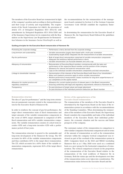The members of the Executive Board are remunerated in light of the company's position and according to their performance and their scope of activity and responsibility. The requirements of the Stock Corporation Act (AktG), the provisions of Article 275 of Delegated Regulation (EU) 2015/35 with amendments by Delegated Regulation (EU) 2016/2283 and of the Insurance Supervision Act in conjunction with the Regulation on the Supervisory Law Requirements for Remuneration Schemes in the Insurance Sector (VersVergV) as well as the recommendations for the remuneration of the management board contained in Section G of the German Corporate Governance Code (DCGK) establish the regulatory framework.

In determining the remuneration for the Executive Board of Hannover Re, the Supervisory Board followed the guidelines set out below:

#### Guiding principles for the Executive Board remuneration of Hannover Re

| Promoting the corporate strategy                           | • Performance criteria derived from the corporate strategy                                                                                                                                                                                                                                               |
|------------------------------------------------------------|----------------------------------------------------------------------------------------------------------------------------------------------------------------------------------------------------------------------------------------------------------------------------------------------------------|
| Long-termism and sustainability                            | • Variable remuneration largely share-based with a multi-year orientation<br>• Sustainability targets (ESG) integrated into the measurement of variable remuneration                                                                                                                                     |
| Pay-for-performance                                        | • Bulk of target direct remuneration comprised of variable remuneration components<br>• Adequate and ambitious defined performance criteria<br>• Variable remuneration can fluctuate between zero and a cap                                                                                              |
| Adequacy of remuneration                                   | • Remuneration of Executive Board members commensurate with the tasks and<br>performance of the respective Board member and the position of the company<br>• Allowance for internal and external remuneration ratios<br>• Caps on the individual variable remuneration components and total remuneration |
| Linkage to shareholder interests                           | • Harmonisation of the interests of the Executive Board with those of our shareholders<br>• Malus and clawback provisions apply to entire variable remuneration<br>• Relative performance measurement creates incentives for long-term outperformance of<br>our competitors on the capital market        |
| Allowance for market practice and<br>regulatory compliance | • Allowance for current market practice of relevant peers in the Board remuneration<br>• Ensuring conformity with legal and regulatory reguirements relevant to Hannover Re                                                                                                                              |
| Transparency                                               | Ex-post disclosure of target values and target attainment<br>• Ex-post disclosure of the individual premium/deduction per Board member                                                                                                                                                                   |
|                                                            |                                                                                                                                                                                                                                                                                                          |

#### Remuneration structure

The idea of "pay-for-performance" and the long-term orientation are paramount concepts central to the remuneration system for the Executive Board of Hannover Re.

In order to reinforce the concept of pay-for-performance, the target direct remuneration (sum of fixed remuneration and target amounts of the variable remuneration components in the event of 100% target attainment) is comprised of 40% fixed remuneration and 60% variable remuneration components. The variable remuneration consists of a short-term incentive (STI) and a long-term incentive (LTI) with a performance period of four years.

The remuneration structure is geared to the sustainable and long-term development of the Hannover Re Group. The STI accounts for 40% of the variable remuneration components and thus contributes 24% to the target direct remuneration. The LTI, which accounts for a 60% share of the variable remuneration components, represents 36% of the target direct remuneration.

#### Review of the appropriateness of the Executive Board remuneration

The remuneration of the members of the Executive Board is determined by the Supervisory Board on the basis of the remuneration system in accordance with the recommendations of the Standing Committee. When determining the remuneration of the members of the Executive Board, the Supervisory Board considers the responsibility and tasks of the individual members of the Executive Board, their individual performance, the economic situation and the success and future prospects of the company.

The customary nature of the remuneration in comparison to other similar companies (horizontal comparison) and in terms of the amount of remuneration as well as the remuneration structure within the company (vertical comparison) was reviewed as part of the overhaul of the remuneration system in 2020. Companies listed on the DAX and MDAX (excluding Hannover Re) as at 1 May 2020 were used on a combined basis as a peer group for the horizontal comparison of remuneration. The vertical comparison is based on the proportion of the remuneration of the Executive Board relative to the remuneration of the total workforce of Hannover Re in Germany. Both the status quo and the development over time of the remuneration ratios were taken into consideration. The remuneration ratios between the Executive Board and the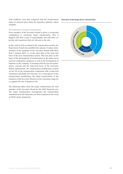total workforce were also compared with the remuneration ratios of selected peers from the insurance industry, where available.

#### Determination of target remuneration

Every member of the Executive Board is given a contractual commitment to customary target remuneration. This is aligned with their scope of responsibility and with their expertise and experience that are relevant to the role.

In the context of the overhaul of the remuneration system, the Supervisory Board also modified the amount of target remuneration of the members of the Executive Board with effect from 1 January 2021, i.e. at the same time as the entry into force of the new remuneration system. This was done on the basis of the development of remuneration at the major peers used for comparative purposes as well as the development of business at the company. In keeping with the pay-for-performance concept and the long-term focus of the Executive Board remuneration, the remuneration modification centred on the LTI as the remuneration component with a long-term orientation and multi-year structure. As a consequence of the remuneration modification, the target remuneration of the members of the Executive Board is in the customary range for a company the size of Hannover Re.

The following tables show the target remuneration for each member of the Executive Board for the 2021 financial year. The target remuneration encompasses the remuneration commitment for the financial year that is granted in the event of 100% target attainment.

#### Structure of the target direct remuneration

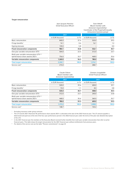#### Target remuneration

#### Jean-Jacques Henchoz (Chief Executive Officer)

#### Sven Althoff (Board member with divisional responsibility/ Coordinator of the Property & Casualty reinsurance business group)

|                                                                                          | 2021            |         | 2021            |         |
|------------------------------------------------------------------------------------------|-----------------|---------|-----------------|---------|
|                                                                                          | in EUR thousand | in $\%$ | in EUR thousand | in $\%$ |
| Basic remuneration                                                                       | 840.0           | 37.4    | 520.0           | 39.5    |
| Fringe benefits <sup>1</sup>                                                             | 14.1            | 0.6     | 16.1            | 1.2     |
| Signing bonuses                                                                          | 130.0           | 5.8     |                 | 0.0     |
| <b>Fixed remuneration components</b>                                                     | 984.1           | 43.8    | 536.1           | 40.7    |
| One-year variable remuneration (STI)                                                     | 504.0           | 22.5    | 312.0           | 23.7    |
| Multi-year variable remuneration (LTI) <sup>2,3</sup><br>(performance share awards 2021) | 756.0           | 33.7    | 468.0           | 35.6    |
| Variable remuneration components                                                         | 1,260.0         | 56.2    | 780.0           | 59.3    |
| <b>Total target remuneration</b>                                                         | 2,244.1         | 100.0   | 1,316.1         | 100.0   |
| Service cost <sup>4</sup>                                                                | 215.0           |         | 288.7           |         |

|                                                                                           | Claude Chèvre<br>(Board member with<br>divisional responsibility)<br>2021 |         | Clemens Jungsthöfel<br>(Chief Financial Officer)<br>2021 |         |
|-------------------------------------------------------------------------------------------|---------------------------------------------------------------------------|---------|----------------------------------------------------------|---------|
|                                                                                           |                                                                           |         |                                                          |         |
|                                                                                           | in EUR thousand                                                           | in $\%$ | in EUR thousand                                          | in $\%$ |
| <b>Basic remuneration</b>                                                                 | 520.0                                                                     | 39.6    | 400.0                                                    | 39.7    |
| Fringe benefits <sup>1</sup>                                                              | 15.0                                                                      | 1.1     | 8.0                                                      | 0.8     |
| <b>Fixed remuneration components</b>                                                      | 535.0                                                                     | 40.7    | 408.0                                                    | 40.5    |
| One-year variable remuneration (STI)                                                      | 312.0                                                                     | 23.7    | 240.0                                                    | 23.8    |
| Multi-year variable remuneration (LTI) <sup>2, 3</sup><br>(performance share awards 2021) | 468.0                                                                     | 35.6    | 360.0                                                    | 35.7    |
| Variable remuneration components                                                          | 780.0                                                                     | 59.3    | 600.0                                                    | 59.5    |
| <b>Total target remuneration</b>                                                          | 1,315.0                                                                   | 100.0   | 1,008.0                                                  | 100.0   |
| Service cost <sup>4</sup>                                                                 | 148.7                                                                     |         | 103.2                                                    |         |

<sup>1</sup> Excluding insurance under group contracts

<sup>2</sup> The LTI tranche 2021 (Hannover Re performance share awards 2021) is allocated at the start of the 2022 financial year. The LTI amount payable is determined and paid out at the end of the four-year performance period in the 2026 financial year under the terms of the plan (see detailed description of the LTI).

<sup>3</sup> In the 2021 financial year the members of the Executive Board received further benefits from multi-year variable remuneration that refer to earlier financial years. This table shows the target remuneration for the 2021 financial year without entitlements from previous years.

<sup>4</sup> For details of the service cost see the table "Pension commitments" on page 24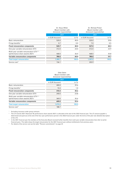|                                                                                          | Dr. Klaus Miller<br>(Board member with<br>divisional responsibility) |         | Dr. Michael Pickel<br>(Board member with<br>divisional responsibility) |         |  |
|------------------------------------------------------------------------------------------|----------------------------------------------------------------------|---------|------------------------------------------------------------------------|---------|--|
|                                                                                          |                                                                      | 2021    |                                                                        | 2021    |  |
|                                                                                          | in EUR thousand                                                      | in $\%$ | in EUR thousand                                                        | in $\%$ |  |
| Basic remuneration                                                                       | 520.0                                                                | 40.0    | 520.0                                                                  | 39.8    |  |
| Fringe benefits <sup>1</sup>                                                             | 0.7                                                                  | 0.0     | 7.0                                                                    | 0.5     |  |
| <b>Fixed remuneration components</b>                                                     | 520.7                                                                | 40.0    | 527.0                                                                  | 40.3    |  |
| One-year variable remuneration (STI)                                                     | 312.0                                                                | 24.0    | 312.0                                                                  | 23.9    |  |
| Multi-year variable remuneration (LTI) <sup>2,3</sup><br>(performance share awards 2021) | 468.0                                                                | 36.0    | 468.0                                                                  | 35.8    |  |
| Variable remuneration components                                                         | 780.0                                                                | 60.0    | 780.0                                                                  | 59.7    |  |
| <b>Total target remuneration</b>                                                         | 1,300.7                                                              | 100.0   | 1,307.0                                                                | 100.0   |  |
| Service cost <sup>4</sup>                                                                | 136.1                                                                |         | 203.9                                                                  |         |  |

Silke Sehm

|                                                                                          | (Board member with<br>divisional responsibility)<br>2021 |         |  |
|------------------------------------------------------------------------------------------|----------------------------------------------------------|---------|--|
|                                                                                          |                                                          |         |  |
|                                                                                          | in EUR thousand                                          | in $\%$ |  |
| <b>Basic remuneration</b>                                                                | 400.0                                                    | 39.6    |  |
| Fringe benefits <sup>1</sup>                                                             | 10.4                                                     | 1.0     |  |
| <b>Fixed remuneration components</b>                                                     | 410.4                                                    | 40.6    |  |
| One-year variable remuneration (STI)                                                     | 240.0                                                    | 23.8    |  |
| Multi-year variable remuneration (LTI) <sup>2,3</sup><br>(performance share awards 2021) | 360.0                                                    | 35.6    |  |
| Variable remuneration components                                                         | 600.0                                                    | 59.4    |  |
| <b>Total target remuneration</b>                                                         | 1,010.4                                                  | 100.0   |  |
| Service cost <sup>4</sup>                                                                | 188.7                                                    |         |  |

<sup>1</sup> Excluding insurance under group contracts

<sup>2</sup> The LTI tranche 2021 (Hannover Re performance share awards 2021) is allocated at the start of the 2022 financial year. The LTI amount payable is determined and paid out at the end of the four-year performance period in the 2026 financial year under the terms of the plan (see detailed description of the LTI).

<sup>3</sup> In the 2021 financial year the members of the Executive Board received further benefits from multi-year variable remuneration that refer to earlier financial years. This table shows the target remuneration for the 2021 financial year without entitlements from previous years.

<sup>4</sup> For details of the service cost see the table "Pension commitments" on page 24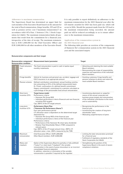#### Adherence to maximum remuneration

The Supervisory Board has determined an upper limit for each member of the Executive Board based on the amount for the total of fixed remuneration, fringe benefits, STI and LTI as well as pension service cost ("maximum remuneration") in accordance with § 87a Para. 1 Sentence 2 No. 1 Stock Corporation Act (AktG). The maximum remuneration limits all payments that result from the commitment for a financial year, irrespective of the date of receipt. The maximum remuneration is EUR 5,000,000 for the Chief Executive Officer and EUR 3,000,000 for all other members of the Executive Board.

It is only possible to report definitively on adherence to the maximum remuneration for the 2021 financial year after the LTI tranche awarded for 2021 has been paid out, which will occur in 2026. Should the payment made from the LTI lead to the maximum remuneration being exceeded, the amount paid out will be reduced accordingly so as to ensure adherence to the maximum remuneration.

#### Application of the remuneration system in the 2021 financial year

The following table provides an overview of the components of Hannover Re's remuneration system in the 2021 financial year and the associated targets:

#### Remuneration components and their target

|                                  | <b>Remuneration condition</b> | Remuneration component/ Measurement basis/parameter                                                                                                                                                                                                                                                                                                                                                                                                                                                                                                                       | <b>Target</b>                                                                                                                                                                                     |
|----------------------------------|-------------------------------|---------------------------------------------------------------------------------------------------------------------------------------------------------------------------------------------------------------------------------------------------------------------------------------------------------------------------------------------------------------------------------------------------------------------------------------------------------------------------------------------------------------------------------------------------------------------------|---------------------------------------------------------------------------------------------------------------------------------------------------------------------------------------------------|
|                                  | Fixed remunera-<br>tion       | The fixed remuneration is paid in cash in twelve equal<br>monthly instalments.                                                                                                                                                                                                                                                                                                                                                                                                                                                                                            | • Attracting and retaining the most suitable<br>Board members<br>• Remunerating the scope of responsibility,<br>expertise and experience of the individual<br>Board members                       |
|                                  | Fringe benefits               | Vehicle for business and personal use, accident, luggage and<br>D&O insurance in an appropriate amount                                                                                                                                                                                                                                                                                                                                                                                                                                                                    | • Granting customary fringe benefits and<br>pension schemes to attract and retain the                                                                                                             |
| Fixed remuneration components    | Pension scheme                | Defined contribution commitment: annual funding contribu-<br>tion amounting to 25% of the defined measurement basis<br>Dr. Pickel: continuation of a defined benefit commitment<br>(legacy commitment): commitment to a pension calculated as<br>a percentage of the pensionable fixed annual remuneration                                                                                                                                                                                                                                                                | most suitable Board members                                                                                                                                                                       |
|                                  | Short-term<br>incentive (STI) | <b>Target bonus model</b><br>Performance criteria:<br>• Hannover Re Group ROE<br>• Individual performance criteria (financial and non-financial,<br>including ESG targets)<br>Cap: 200% of the STI target amount                                                                                                                                                                                                                                                                                                                                                          | • Incentivising attainment or outperfor-<br>mance of the annual corporate and<br>business group targets and remuneration<br>of the individual contribution to the result<br>and to sustainability |
| Variable remuneration components | Long-term<br>incentive (LTI)  | <b>Performance Share Plan</b><br>("Hannover Re Performance Shares")<br>Four-year performance period<br>LTI allocation value is dependent on the determined target<br>attainment for:<br>• Hannover Re Group ROE of the financial year<br>• Individual performance criteria of the financial year<br>Performance criteria:<br>• Performance of the Hannover Re share (plus dividends)<br>• Relative Total Shareholder Return (TSR) compared to<br>relevant peers<br>Cap: 400% of the LTI target amount (max. 200% LTI<br>allocation value + max. 200% measured by the TSR) | • Recognising the performance in the<br>financial year<br>• Incentivising the creation of long-term<br>shareholder value<br>• Motivating outperformance of peers                                  |
| <b>Further provisions</b>        | Maximum<br>remuneration       | Chief Executive Officer: EUR 5,000,000<br>Other Board members: EUR 3,000,000                                                                                                                                                                                                                                                                                                                                                                                                                                                                                              | • Limiting the total remuneration promised<br>for a financial year<br>• Fulfilment of regulatory standards of the<br>Stock Corporation Act (AktG)                                                 |
|                                  | Malus and<br>clawback         | Option of the Supervisory Board to partially or fully withhold<br>("malus") or claim back ("clawback") the variable<br>remuneration in the event of gross misconduct or an incorrect<br>consolidated financial statement<br>In addition, reduction or elimination of the variable<br>remuneration is possible if required by the regulator                                                                                                                                                                                                                                | • Strengthening the position of the<br>Supervisory Board in the event of severe<br>compliance violations                                                                                          |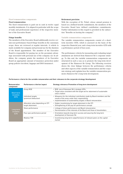#### Fixed remuneration components

#### Fixed remuneration

The fixed remuneration is paid out in cash in twelve equal monthly instalments. It is aligned in particular with the scope of tasks and professional experience of the respective member of the Executive Board.

#### Fringe benefits

The members of the Executive Board additionally receive certain non-performance-based fringe benefits in the customary scope; these are reviewed at regular intervals. A vehicle is made available for company and personal use for the duration of the Board appointment. The member of the Executive Board is responsible for paying tax on the pecuniary advantage associated with personal use of the company car. In addition, the company grants the members of its Executive Board an appropriate amount of insurance protection under group policies (accident, luggage and D&O insurance).

#### Retirement provision

With the exception of Dr. Pickel, whose annual pension is based on a defined benefit commitment, the members of the Executive Board have defined contribution commitments. Further information in this regard is provided in the subsection "Benefits on leaving the company".

#### Variable remuneration components

The variable remuneration components consist of a shortterm incentive (STI), which is assessed on the basis of the respective financial year, and a long-term incentive (LTI) with a performance period of four years.

The performance criteria for measuring and evaluating target attainment are derived from Hannover Re's corporate strategy. To this end, the variable remuneration components are structured in such a way as to promote the long-term development of the Hannover Re Group. The following overview shows the close linkage between the performance criteria and other aspects of the variable remuneration and the corporate strategy and explains how the variable remuneration promotes Hannover Re's long-term development.

| Remuneration<br>component             | Performance criterion/aspect                           | Strategy relevance/Promotion of long-term development                                                                                                                                            |  |  |
|---------------------------------------|--------------------------------------------------------|--------------------------------------------------------------------------------------------------------------------------------------------------------------------------------------------------|--|--|
| Short-term<br>incentive               | Group ROE                                              | • ROE: one of Hannover Re's strategic KPIs<br>• Target value consistent with the target set for attainment of sustainable<br>value creation                                                      |  |  |
| (STI)                                 | Individual targets<br>(premium/deduction)              | • Allowance for the individual contribution made by Board members and the<br>results of the areas under their responsibility<br>• Implementation of sustainability targets in Board remuneration |  |  |
| Long-term<br><i>incentive</i><br>(LT) | Allocation value depending on STI<br>target attainment | • Higher incentivising for target attainment in the STI<br>• Strengthening of the pay-for-performance concept                                                                                    |  |  |
|                                       | Share performance                                      | • Linkage of share performance and Board remuneration<br>• Harmonisation of the interests of the Board and those of shareholders                                                                 |  |  |
|                                       | Four-year performance period                           | • Orientation towards long-term success and assuring the long-term<br>development of Hannover Re                                                                                                 |  |  |
|                                       | <b>Relative TSR</b>                                    | • Incentivising long-term outperformance of relevant peers on the capital<br>market                                                                                                              |  |  |

#### Performance criteria for the variable remuneration and their relevance to the corporate strategy/development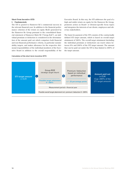## Short-Term Incentive (STI)

I. Fundamentals

The STI is geared to Hannover Re's commercial success in the relevant financial year. In addition to the financial performance criterion of the return on equity (RoE) generated by the Hannover Re Group pursuant to the consolidated financial statement of Hannover Rück SE ("Group RoE"), an individual premium or deduction is considered in the determination of the amount paid out which comprises both financial and non-financial performance criteria, in particular sustainability targets, and makes allowance for the respective divisional responsibilities of the individual members of the Executive Board in addition to the overall responsibility of the

#### Calculation of the short-term incentive (STI)

Executive Board. In this way, the STI addresses the goal of a high and stable return on equity for the Hannover Re Group, promotes action on Board- or division-specific focus topics and integrates the interests of our clients, employees and other key stakeholders.

The basis for payment of the STI consists of the contractually defined STI target amount, which is based on overall target attainment of 100%. The overall target attainment (including the individual premium or deduction) can reach values between 0% and 200% of the STI target amount. The amount that can be paid out under the STI is thus limited to 200% of the target amount.

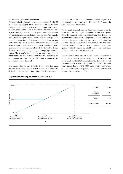#### II. Financial performance criterion

The determinative financial performance criterion for the STI is – with a weighting of 100% – the Group RoE for the financial year in comparison with a strategic target return, which is established on the basis of the risk-free interest rate on a 5-year average plus an ambitious spread. The risk-free interest rate is the average market rate over the past five years for ten-year German government bonds, with the average being calculated on the basis of the respective interest rate at yearend. The Group RoE is one of the central performance indicators in Hannover Re's management system and as such is also implemented in the remuneration of the Executive Board. Hannover Re pursues the goal of generating a high return on equity. The Group's focus here is on long-term value enhancement. The use of the Group RoE as a determinative performance criterion for the STI creates incentives for accomplishment of this goal.

The target value for the Group-RoE as well as the target corridor with upper and lower thresholds are in each case defined in advance by the Supervisory Board for the coming

#### Target attainment Group RoE in the 2021 financial year

financial year. In this context, the target value is aligned with the strategic target return of the Hannover Re Group at the time when it was determined.

For the 2021 financial year the Supervisory Board defined a target value (100% target attainment) of 900 basis points above the riskfree interest rate for the Group RoE. This is consistent with the company's strategic target of generating sustainable value creation through a return on equity of at least 900 basis points above the risk-free interest rate. The lower threshold was defined as the risk-free interest rate without a spread, while the upper threshold was set at 1,800 basis points above the risk-free interest rate.

The risk-free interest rate on 10-year German government bonds over a five-year average amounted to -0.04% as at the end of 2021. For the 2021 financial year the target Group RoE therefore stands at 896 basis points. In the 2021 financial year a Group RoE of 10.8% (1080 basis points) was generated. This corresponds to target attainment of the performance criterion Group RoE of 120.5%.

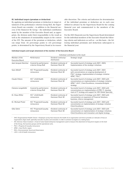#### III. Individual targets (premium or deduction)

By applying an individual premium or deduction to target attainment of the performance criterion Group RoE, the Supervisory Board can consider – in addition to the financial success of the Hannover Re Group – the individual contribution made by the member of the Executive Board and, as appropriate, the division under their responsibility to the result as well as the attainment of sustainability targets in the context of the STI. The amount of the premium or deduction, which can range from  $-25$  percentage points to  $+25$  percentage points, is determined by the Supervisory Board at its reasonable discretion. The criteria and indicators for determination of the individual premium or deduction are in each case defined in advance by the Supervisory Board for the coming financial year and communicated to the members of the Executive Board.

For the 2021 financial year the Supervisory Board determined for the individual members of the Executive Board the following criteria and indicators as well as – on this basis – the following individual premiums and deductions subsequent to the financial year:

#### Individual targets and target attainment of the member of the Executive Board

| Individual contribution to the result   |                                                     |                                            |                                                                                                                                                                                                              |
|-----------------------------------------|-----------------------------------------------------|--------------------------------------------|--------------------------------------------------------------------------------------------------------------------------------------------------------------------------------------------------------------|
| Member of the<br><b>Executive Board</b> | Performance                                         | Dividend continuity/<br>distribution       | Strategic target                                                                                                                                                                                             |
| Jean-Jacques Henchoz                    | Covered by performance<br>criterion Group RoE       | Dividend continuity of<br>Hannover Rück SE | Successful launch of strategy cycle 2021-2023;<br>Implementation of the strategic initiatives                                                                                                                |
| Sven Althoff                            | IVC <sup>2</sup> Property & Casualty<br>reinsurance | Dividend continuity of<br>Hannover Rück SE | Successful launch of strategy cycle 2021-2023<br>with concentrations on ongoing development of<br>P&C <sup>3</sup> strategy, implementation of strategic initiative<br>APAC <sup>4</sup> P&C <sup>3</sup>    |
| Claude Chèvre                           | $IVC2$ Life & Health<br>reinsurance                 | Dividend continuity of<br>Hannover Rück SE | Successful launch of strategy cycle 2021-2023 with<br>concentrations on implementation of strategic initiative<br>APAC <sup>4</sup> L & H <sup>6</sup> , Client Excellence, innovation & digital<br>strategy |
| Clemens Jungsthöfel                     | Covered by performance<br>criterion Group RoE       | Dividend continuity of<br>Hannover Rück SE | Successful launch of strategy cycle 2021-2023 with<br>concentrations on implementation of IFRS 17, develop-<br>ment of IT strategy and support for HDI Global Specialty                                      |
| Dr. Klaus Miller                        | $IVC2$ Life & Health<br>reinsurance                 | Dividend continuity of<br>Hannover Rück SE | Successful launch of strategy cycle 2021-2023 with<br>concentration on expansion of Financial Solutions<br>business, inforce management                                                                      |
| Dr. Michael Pickel                      | IVC <sup>2</sup> Property & Casualty<br>reinsurance | Dividend continuity of<br>Hannover Rück SE | Successful launch of strategy cycle 2021-2023 with<br>concentration on implementation of strategic initiative<br><b>Client Excellence</b>                                                                    |
| Silke Sehm                              | IVC <sup>2</sup> Property & Casualty<br>reinsurance | Dividend continuity of<br>Hannover Rück SE | Successful launch of strategy cycle 2021-2023 with<br>concentration on implementation of strategic initiatives<br>Client Excellence and innovation und digital strategy                                      |
|                                         |                                                     |                                            |                                                                                                                                                                                                              |

<sup>1</sup> OHC (Organisational Health Check) = Employee survey that measures the health of an organisation and hence provides an indicator of how an organisation aligns itself, optimally executes its plans and innovates in order to achieve its targets on a lasting basis.

<sup>2</sup> IVC (Intrinsic Value Creation) = A tool of value-based enterprise management used to measure the attainment of long-term targets on the level of the Group, the business groups and the operational units.

 $3$  P&C = Property & Casualty reinsurance

<sup>4</sup> APAC = Asia-Pacific region

<sup>5</sup> ESG = Environmental, Social and Governance

 $L$ &H = Life & Health reinsurance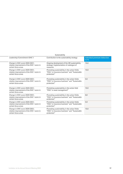| Sustainability                                                                                                 |                                                                                                                            |                                        |  |
|----------------------------------------------------------------------------------------------------------------|----------------------------------------------------------------------------------------------------------------------------|----------------------------------------|--|
| Leadership/Commitment (OHC <sup>1</sup> )                                                                      | Contribution to the sustainability strategy                                                                                | Individual premium/deduction<br>in $%$ |  |
| Change in OHC score 2020/2021;<br>relative improvement of the OHC <sup>1</sup> score in<br>certain focus areas | Ongoing development of the HR sustainability<br>strategy; Implementation of catalogue of<br>measures                       | 15.0                                   |  |
| Change in OHC score 2020/2021;<br>relative improvement of the OHC <sup>1</sup> score in<br>certain focus areas | Promoting sustainability in the action fields<br>"ESG <sup>5</sup> in insurance business" and "Sustainable"<br>protection" | 15.0                                   |  |
| Change in OHC score 2020/2021;<br>relative improvement of the OHC <sup>1</sup> score in<br>certain focus areas | Promoting sustainability in the action fields<br>"ESG <sup>5</sup> in insurance business" and "Sustainable"<br>protection" | 5.0                                    |  |
| Change in OHC score 2020/2021;<br>relative improvement of the OHC <sup>1</sup> score in<br>certain focus areas | Promoting sustainability in the action field<br>"ESG <sup>5</sup> in asset management"                                     | 15.0                                   |  |
| Change in OHC score 2020/2021;<br>relative improvement of the OHC <sup>1</sup> score in<br>certain focus areas | Promoting sustainability in the action fields<br>"ESG <sup>5</sup> in insurance business" and "Sustainable"<br>protection" | 0,0                                    |  |
| Change in OHC score 2020/2021;<br>relative improvement of the OHC <sup>1</sup> score in<br>certain focus areas | Promoting sustainability in the action fields<br>"ESG <sup>5</sup> in insurance business" and "Sustainable<br>protection"  | 5.0                                    |  |
| Change in OHC score 2020/2021;<br>relative improvement of the OHC <sup>1</sup> score in<br>certain focus areas | Promoting sustainability in the action fields<br>"ESG <sup>5</sup> in insurance business" and "Sustainable"<br>protection" | 15.0                                   |  |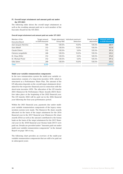#### IV. Overall target attainment and amount paid out under the STI 2021

The following table shows the overall target attainment as well as the resulting amount paid out to each member of the Executive Board for the STI 2021:

#### Overall target attainment and amount paid out under STI 2021

| Member of the          | Target amount   |           | Target attainment Individual premium/ | Overall target | <b>Amount paid out</b> |
|------------------------|-----------------|-----------|---------------------------------------|----------------|------------------------|
| <b>Executive Board</b> | in EUR thousand | Group RoE | deduction                             | attainment     | in EUR thousand        |
| Jean-Jacques Henchoz   | 504             | 120.5%    | 15.0%                                 | 135.5%         | 682.9                  |
| Sven Althoff           | 312             | 120.5%    | 15.0%                                 | 135.5%         | 422.8                  |
| Claude Chèvre          | 312             | 120.5%    | $5.0\%$                               | 125.5%         | 391.6                  |
| Clemens Jungsthöfel    | 240             | 120.5%    | 15.0%                                 | 135.5%         | 325.2                  |
| Dr. Klaus Miller       | 312             | 120.5%    | $0.0\%$                               | 120.5%         | 376.0                  |
| Dr. Michael Pickel     | 312             | 120.5%    | $5.0\%$                               | 125.5%         | 391.6                  |
| Silke Sehm             | 240             | 120.5%    | 15.0%                                 | 135.5%         | 325.2                  |
| <b>Total</b>           | 2,232           |           |                                       |                | 2,915.3                |

#### Multi-year variable remuneration components

In the new remuneration system the multi-year variable remuneration consists of a long-term incentive (LTI), which is structured as a Performance Share Plan. The amount of the LTI allocation depends on the overall target attainment determined for the respective financial year in connection with the short-term incentive (STI). The allocation of the LTI tranche 2021 (Hannover Re Performance Share Awards 2021) therefore takes place at the beginning of the 2022 financial year. The LTI tranche 2022 will be paid out in the 2026 financial year following the four-year performance period.

Within the 2021 financial year, payments due under multiyear variable remuneration components of the legacy remuneration system were made. The Hannover Re share awards allocated on the basis of the target attainment for the 2016 financial year in the 2017 financial year (Hannover Re share awards 2016) as well as the amount contributed to the bonus bank on the basis of the target attainment for the 2017 financial year in the 2018 financial year (bonus bank 2017) were paid out. Details are provided under "Amounts paid out under multi-year variable remuneration components" in the Annual Report on page 140 et seq.

The following chart provides an overview of the multi-year variable remuneration components that are still to be paid out in subsequent years: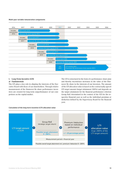#### Multi-year variable remuneration components



## I. Long-Term Incentive (LTI)

## a) Fundamentals

The LTI plays a key role in aligning the interests of the Executive Board with those of our shareholders. Through relative measurement of the Hannover Re share performance incentives are created for long-term outperformance of our competitors on the capital market.

The LTI is structured in the form of a performance share plan and thereby incentivises increases in the value of the Hannover Re share in the interests of our investors. The amount of the LTI allocation value is based on the contractually agreed LTI target amount (target attainment 100%) and depends on the target attainment for the financial performance criterion Group RoE determined in the context of the STI for the respective financial year as well as the individual premium or deduction defined by the Supervisory Board for the financial year.

#### Calculation of the long-term incentive (LTI) allocation value

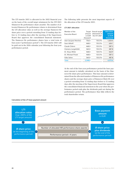The LTI tranche 2021 is allocated in the 2022 financial year on the basis of the overall target attainment for the STI 2021 (Hannover Re performance share awards). The number of allocated Hannover Re performance shares is determined from the LTI allocation value as well as the average Hannover Re share price over a period extending from 15 trading days before to 15 trading days after the meeting of the Supervisory Board that approves the consolidated financial statement. The Hannover Re performance shares have a total term of four years ("performance period"). The LTI tranche 2021 will be paid out in the 2026 calendar year following the four-year performance period.

The following table presents the most important aspects of the allocation of the LTI tranche 2021.

#### LTI 2021 allocation

| Member of the<br>Executive Board | Target<br>amount<br>in EUR<br>thousand | Overall target<br>attainment of<br>the STI 2021 | <b>Allocation</b><br>amount<br>in EUR<br>thousand |
|----------------------------------|----------------------------------------|-------------------------------------------------|---------------------------------------------------|
| Jean-Jacques Henchoz             | 756.0                                  | 135.5%                                          | 1,024.4                                           |
| Sven Althoff                     | 468.0                                  | 135.5%                                          | 634.1                                             |
| Claude Chèvre                    | 468.0                                  | 125.5%                                          | 587.3                                             |
| Clemens Jungsthöfel              | 360.0                                  | 135.5%                                          | 487.8                                             |
| Dr. Klaus Miller                 | 468.0                                  | 120.5%                                          | 563.9                                             |
| Dr. Michael Pickel               | 468.0                                  | 125.5%                                          | 587.3                                             |
| Silke Sehm                       | 360.0                                  | 135.5%                                          | 487.8                                             |
| <b>Total</b>                     | 3,348.0                                |                                                 | 4,372.6                                           |

At the end of the four-year performance period the base payment amount is initially calculated on the basis of the Hannover Re share price performance. This base amount is determined from the allocated number of Hannover Re performance shares and the average share price of Hannover Rück SE over a period extending from 15 trading days before to 15 trading days after the meeting of the Supervisory Board that approves the consolidated financial statement in the year when the performance period ends plus the dividends paid out during the performance period. The performance thus fully reflects the total shareholder return.



#### Calculation of the LTI base payment amount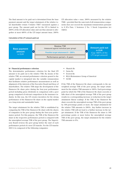The final amount to be paid out is determined from the base payment amount and the target attainment of the relative total shareholder return ("relative TSR") measured against a peer group. The amount paid out for the LTI is limited to 200% of the LTI allocation value and can thus amount to altogether at most 400% of the LTI target amount (max. 200%

LTI allocation value  $+$  max. 200% measured by the relative TSR) – provided that the sum total of all remuneration components does not exceed the maximum remuneration pursuant to § 87a Para. 1 Sentence 2 No. 1 Stock Corporation Act (AktG).

#### Calculation of the LTI amount paid out



#### b) Financial performance criterion

The determinative performance criterion for the final LTI amount to be paid out is the relative TSR. By means of the relative TSR, an external performance criterion geared to the capital market is integrated into the variable remuneration that facilitates relative performance measurement as well as alignment of the interests of the Executive Board and those of shareholders. The relative TSR maps the development of the Hannover Re share price during the four-year performance period including gross dividends in comparison with a peer group comprised of relevant competitors in the insurance industry. In this way, the LTI creates incentives for the strong performance of the Hannover Re share on the capital market on a long-term and sustainable basis.

The target attainment for the relative TSR is established by comparing the TSR of the Hannover Re share with the shares of companies in the peer group during the four-year performance period. For this purpose, the TSR of the Hannover Re share in the respective performance period is compared with the unweighted average TSR of the peer group. The Supervisory Board reviews the peer group before the start of each performance period of a new LTI tranche. For the LTI tranche 2021 it is composed of the following companies:

- Munich Re
- Swiss Re
- Everest Re
- RGA (Reinsurance Group of America)
- SCOR

If the TSR of the Hannover Re share corresponds to the unweighted average TSR of the peer group, the target attainment for the relative TSR amounts to 100%. Each percentage point by which the TSR of the Hannover Re share exceeds or falls short of the unweighted average TSR of the peer group results in a corresponding increase or reduction in the target attainment (linear scaling). If the TSR of the Hannover Re share exceeds the unweighted average TSR of the peer group by 100 percentage points or more, the target attainment for the relative TSR amounts to 200%. Any further increase in the relative TSR will not lead to a further increase in the target attainment. If the TSR of the Hannover Re share is 100 percentage points or more below the unweighted average TSR of the peer group, the target attainment for the relative TSR amounts to 0%.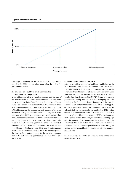#### Target attainment curve relative TSR



The target attainment for the LTI tranche 2021 will be disclosed in the 2026 remuneration report after the end of the performance period.

#### II. Amounts paid out from multi-year variable remuneration components

In the old remuneration system that applied until the end of the 2020 financial year, the variable remuneration for a financial year consisted of a Group bonus and an individual bonus as well as – in the case of members of the Executive Board with responsibility for a certain division – a divisional bonus. 60% of the amount determined for each member of the Executive Board was paid out after the end of the respective financial year, while 20% was allocated as virtual shares (Hannover Re share awards) and a further 20% was contributed to a so-called bonus bank. The Hannover Re share awards allocated in the 2017 financial year on the basis of the target attainment for the variable remuneration of the 2016 financial year (Hannover Re share awards 2016) as well as the amount contributed to the bonus bank in the 2018 financial year on the basis of the target attainment for the variable remuneration of the 2017 financial year (bonus bank 2017) were paid out in 2021.

#### a) Hannover Re share awards 2016

After the variable remuneration had been established for the 2016 financial year, Hannover Re share awards were automatically allocated in the equivalent amount of 20% of the determined variable remuneration. The value per share upon allocation in 2017 was established on the basis of the unweighted arithmetic mean of the XETRA closing prices over a period of five trading days before to five trading days after the meeting of the Supervisory Board that approved the consolidated financial statement in March 2017. After a vesting period of four years the value of the Hannover Re share awards calculated at the payment date was paid out in 2021. In this context, the value of the share was established on the basis of the unweighted arithmetic mean of the XETRA closing prices over a period of five trading days before to five trading days after the meeting of the Supervisory Board that approved the consolidated financial statement in March 2021. In addition, the sum total of all dividends per share distributed during the vesting period was paid out in accordance with the remuneration system.

The following table provides an overview of the Hannover Re share awards 2016: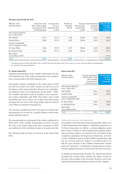#### HR Share Awards (HR SA) 2016

| Member of the<br><b>Executive Board</b>       | Allocation value<br>20% of the variable<br>remuneration 2016<br>in EUR thousand | Average share<br>price on<br>allocation 2017<br>in EUR | Number of<br>allocated<br>HR SA | share price on<br>payout 2021<br>in EUR | Average Total distributed<br>dividends<br>per share<br>in EUR | <b>Amount paid</b><br>out 2021<br>in EUR<br>thousand |
|-----------------------------------------------|---------------------------------------------------------------------------------|--------------------------------------------------------|---------------------------------|-----------------------------------------|---------------------------------------------------------------|------------------------------------------------------|
| Jean-Jacques Henchoz<br>since 1 April 2019    |                                                                                 |                                                        |                                 |                                         |                                                               |                                                      |
| Sven Althoff                                  | 121.2                                                                           | 107.15                                                 | 1,132                           | 150.42                                  | 20.75                                                         | 193.8                                                |
| Claude Chèvre                                 | 158.0                                                                           | 107.15                                                 | 1,475                           | 150.42                                  | 20.75                                                         | 252.5                                                |
| Clemens Jungsthöfel<br>since 1 September 2020 |                                                                                 |                                                        |                                 |                                         |                                                               |                                                      |
| Dr. Klaus Miller                              | 130.6                                                                           | 107.15                                                 | 1,219                           | 150.42                                  | 20.75                                                         | 208.7                                                |
| Dr. Michael Pickel                            | 136.0                                                                           | 107.15                                                 | 1,270                           | 150.42                                  | 20.75                                                         | 217.4                                                |
| Silke Sehm <sup>1</sup><br>since 6 March 2019 |                                                                                 |                                                        |                                 |                                         |                                                               | 141.6                                                |
| <b>Total</b>                                  | 545.8                                                                           |                                                        | 5,096                           |                                         |                                                               | 1.014.0                                              |

<sup>1</sup> The amount paid out to Ms. Silke Sehm refers to HR SA that were allocated to her for her work as a senior executive before her appointment as a member of the Executive Board.

#### b) Bonus bank 2017

Following determination of the variable remuneration for the 2017 financial year, 20% of this remuneration was contributed to a bonus bank in the 2018 financial year.

The positive amount contributed to the bonus bank in 2018 was due to be paid out in 2021, insofar as it did not exceed the balance of the bonus bank after allowance for credits/debits during the three-year performance period (2018 - 2020). The variable total bonus could be negative in the remuneration system applicable until 2020. This minus value would potentially have been carried over in full to the bonus bank, meaning that the level of the bonus bank could be reduced even without an amount being paid out.

The amounts contributed for 2017 were paid out in full. Pending payments not covered by a positive balance in the bonus bank would have lapsed.

The amounts paid out correspond to the values contributed in 2018 (20% of the variable remuneration for 2017) because the level of the bonus bank at the time of payment in 2021 was sufficient for the contributed values to be paid out in full.

The following table provides an overview of the bonus bank 2017:

#### Bonus bank 2017

| Member of the<br>Executive Board              | Amount contributed<br>(2018) (20% of the<br>2017 variable<br>remuneration)<br>in EUR thousand | <b>Amount paid</b><br>out 2021<br>in EUR<br>thousand |
|-----------------------------------------------|-----------------------------------------------------------------------------------------------|------------------------------------------------------|
| Jean-Jacques Henchoz<br>since 1 April 2019    |                                                                                               |                                                      |
| Sven Althoff                                  | 109.6                                                                                         | 109.6                                                |
| Claude Chèvre                                 | 125.8                                                                                         | 125.8                                                |
| Clemens Jungsthöfel<br>since 1 September 2020 |                                                                                               |                                                      |
| Dr. Klaus Miller                              | 105.8                                                                                         | 105.8                                                |
| Dr. Michael Pickel                            | 118.6                                                                                         | 118.6                                                |
| Silke Sehm<br>since 6 March 2019              |                                                                                               |                                                      |
| Total                                         | 459.8                                                                                         | 459.8                                                |

#### Malus and clawback, risk adjustment

If a member of the Executive Board intentionally violates one of their fundamental due diligence obligations pursuant to § 93 Stock Corporation Act (AktG), a cardinal obligation under their service contract or other fundamental company principles governing conduct, e.g. from the Code of Conduct or the compliance guidelines, the Supervisory Board may, at its discretion, withhold in part or in full variable remuneration that has not yet been paid out ("malus") or reclaim in part or in full the gross amount of the variable remuneration already paid out ("clawback"). A clawback of remuneration is excluded if the significant breach occurred more than five years ago.

In making its discretionary decision, the Supervisory Board considers the severity of the violation, the degree of fault on the part of the member of the Executive Board as well as the material and immaterial damage incurred by the company.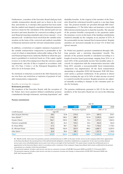Furthermore, a member of the Executive Board shall pay back variable remuneration already paid out to them in the event that, and insofar as, it emerges after payment has been made that the audited and adopted consolidated financial statement used as a basis for the calculation of the amount paid out was incorrect and must therefore be corrected according to pertinent financial reporting standards and a lower amount – or no amount at all – would have been owed from the variable remuneration on the basis of the corrected and audited consolidated financial statement and the relevant remuneration system.

In addition, a restriction or complete omission of payment of the variable remuneration components is permissible in the event of a final or immediately enforceable ruling of the Federal Financial Supervisory Authority (BaFin) in which the payment is prohibited or restricted (such as: if the equity capital is lower or at risk of becoming lower than the solvency capital requirement), and also if this is required in accordance with Art. 275 Para. 2 letter e of the Delegated Regulation (EU) 2015/35 of 10 October 2014.

No clawback or reduction occurred in the 2021 financial year, nor was there any restriction or omission of payment of variable remuneration components.

#### Benefits on leaving the company

#### Retirement provision

The members of the Executive Board, with the exception of Dr. Pickel, have been granted defined contribution pension commitments through retirement, surviving dependants' and

disability benefits. At the request of the member of the Executive Board the retirement benefit is paid as a one-time lump sum. The pension benefits are provided through HDI Unterstützungskasse e.V. The latter takes out insurance covers with HDI Lebensversicherung AG to fund the benefits. The amount of the pension benefits corresponds to the payments under the insurance covers on the basis of the funding contributions rendered annually by the company in an amount of 25% of the pensionable income (annual fixed remuneration). Regular annuities are increased annually by at least 1% of their last (gross) amount.

Dr. Pickel was granted a pension commitment through a lifelong pension and a surviving dependants' benefit. The amount of the pension benefits is calculated according to a length-of-service-based percentage ranging from 25% to at most 50% of the pensionable income (last monthly salary received). In conjunction with the remuneration structure valid from 2011 onwards a non-pensionable fixed remuneration component was implemented. Of the fixed remuneration amounting to altogether EUR 520 thousand, EUR 320 thousand carries a pension entitlement. If the pension is drawn before reaching the age of 65 50% of other income received is counted towards the pension. Regular pensions are adjusted annually according to changes in the consumer price index for Germany.

The pension entitlements pursuant to IAS 19 for the active members of the Executive Board are set out in the following table.

|                             |       |                                                   |         |                   | <b>IAS 19</b> |            |
|-----------------------------|-------|---------------------------------------------------|---------|-------------------|---------------|------------|
|                             | 2021  | 2020                                              | 2021    | 2020              | 2021          | 2020       |
| in EUR thousand             |       | Attainable annual pension<br>(aq <sub>e</sub> 65) |         | Personnel expense |               | DBO 31.12. |
| Jean-Jacques Henchoz        | 58.2  | 52.8                                              | 215.0   | 127.9             | 509.3         | 370.7      |
| Sven Althoff <sup>1,2</sup> | 118.2 | 108.5                                             | 288.7   | 151.8             | 2,290.0       | 2,265.9    |
| Claude Chèvre               | 106.1 | 100.0                                             | 148.7   | 72.4              | 1,473.2       | 1,565.5    |
| Clemens Jungsthöfel         | 46.1  | 26.2                                              | 103.2   | 33.6              | 256.0         | 166.0      |
| Dr. Klaus Miller            | 61.5  | 58.1                                              | 136.1   | 76.5              | 1,150.2       | 1,118.3    |
| Dr. Michael Pickel          | 160.0 | 160.0                                             | 203.9   | 180.5             | 4,087.7       | 4,235.9    |
| Silke Sehm <sup>1, 3</sup>  | 65.8  | 58.6                                              | 188.7   | 326.2             | 1,257.6       | 1,194.5    |
| <b>Total</b>                | 615.9 | 564.2                                             | 1,284.3 | 968.9             | 11,024.0      | 10,916.8   |

<sup>1</sup> Mr. Althoff and Ms. Sehm were first granted a pension commitment prior to 2001 on the basis of their service to the company before their appointment to the Executive Board; the earned portion of the defined benefit obligation is therefore established as a proportion (in the ratio [currently attained service years since entry]/[attainable service years from entry to exit age]) of the final benefit. The values shown include the entitlements prior to appointment to the Executive Board, which in accordance with a resolution of the company's Supervisory Board shall remain unaffected by the pension commitment as a member of the Executive Board.

<sup>2</sup> The personnel expense includes a past service cost due to a premium increase of EUR 88.5 thousand (2020) and EUR 211.9 thousand (2021).

<sup>3</sup> The personnel expense includes a past service cost due to a premium increase and change in measurement of EUR 259.5 thousand (2020) and EUR 144.9 thousand (2021).

#### Pension commitments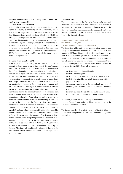### Variable remuneration in case of early termination of the employment relationship

#### I. Short-Term Incentive (STI)

If the employment relationship of a member of the Executive Board ends during a financial year for a compelling reason that is not the responsibility of the member of the Executive Board in accordance with § 626 Para. 1 Civil Code (BGB), the participant in the plan has an entitlement to a pro rata temporis STI for this financial year. If the employment relationship is terminated by the company without notice prior to the end of the financial year for a compelling reason that is the responsibility of the member of the Executive Board in accordance with § 626 Para. 1 Civil Code (BGB), the entitlement to STI for this financial year shall be cancelled without replacement or compensation.

#### II. Long-Term Incentive (LTI)

If the employment relationship or the term of office on the Executive Board ends prior to the end of the performance period for a reason other than those specified below before the end of a financial year, the participant in the plan has an entitlement to a pro rata temporis LTI for this financial year. In this event, the determination and payment of the variable remuneration components is normally made in accordance with the provisions of the plan conditions for the LTI. Early payment prior to the end of the respective performance period of the LTI is not envisaged in such instances. If the employment relationship or the term of office on the Executive Board ends during the financial year due to resignation from office or notice given by the member of the Executive Board (exception: resignation from office or notice given by the member of the Executive Board for a compelling reason), the refusal by the member of the Executive Board to accept an offer of extension on at least equal contractual conditions (exception: the member of the Executive Board has reached the age of 60 and served as a member of the Executive Board for two terms of office), extraordinary termination without notice of the service contract of the member of the Executive Board by the company for a compelling reason or revocation of the appointment of the member of the Executive Board for a compelling reason as defined by § 84 Para. 3 Stock Corporation Act (AktG) (exception: vote of no confidence passed by the General Meeting), all conditionally allocated Hannover Re performance shares shall be cancelled without replacement or compensation.

#### Severance pay

The service contracts of the Executive Board make no provision for claims to severance pay. Commitments to benefits in connection with the early termination of employment on the Executive Board as a consequence of a change of control are similarly not envisaged in the service contracts of the members of the Executive Board.

### Remuneration granted and owing in the 2021 financial year

#### Current members of the Executive Board

The following tables set out the remuneration granted and owing to the individual members of the Executive Board pursuant to § 162 Para. 1 Sentence 2 No. 1 Stock Corporation Act (AktG). Remuneration granted refers to remuneration for which the activity was performed in full in the year under review. Remuneration owing encompasses remuneration that is due but has not yet actually been received. In this context, the disclosure for the 2021 financial year covers:

- the fixed remuneration paid out in the 2021 financial year
- the fringe benefits accruing in the 2021 financial year
- the STI determined for the 2021 financial year with payment in 2022
- the amount contributed to the bonus bank for the 2017 financial year, which was paid out in the 2021 financial year
- the share awards allocated for the 2016 financial year, which were paid out in the 2021 financial year

In addition, the service cost for the pension commitments for the 2021 financial year is disclosed in the tables as part of the Executive Board remuneration.

The tables also show the relative shares of the individual remuneration components in the total remuneration granted and owing.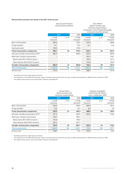#### Remuneration granted and owing in the 2021 financial year

#### Jean-Jacques Henchoz (Chief Executive Officer)

#### Sven Althoff (Board member with divisional responsibility/ Coordinator of the Property & Casualty reinsurance business group)

|                                                   | 2021               |                  | 2020               | 2021               |         | 2020               |
|---------------------------------------------------|--------------------|------------------|--------------------|--------------------|---------|--------------------|
|                                                   | in EUR<br>thousand | in $\frac{9}{6}$ | in EUR<br>thousand | in EUR<br>thousand | in $\%$ | in EUR<br>thousand |
| <b>Basic remuneration</b>                         | 840.0              |                  | 750.0              | 520.0              |         | 408.8              |
| Fringe benefits <sup>1</sup>                      | 14.1               |                  | 30.9               | 16.1               |         | 16.5               |
| Signing bonuses                                   | 130.0              |                  | 130.0              |                    |         |                    |
| <b>Fixed remuneration components</b>              | 984.1              | 59               | 910.9              | 536.1              | 42      | 425.3              |
| One-year variable remuneration (STI) <sup>2</sup> | 682.9              |                  | 805.8              | 422.8              |         | 409.8              |
| Multi-year variable remuneration                  |                    |                  |                    | 303.4              |         | 318.1              |
| Bonus bank 2017/2016 (3 years)                    |                    |                  |                    | 109.6              |         | 121.2              |
| Share Awards 2016/2015 (4 years)                  |                    |                  |                    | 193.8              |         | 196.9              |
| Variable remuneration components                  | 682.9              | 41               | 805.8              | 726.2              | 58      | 727.9              |
| <b>Total remuneration</b>                         | 1,667.0            | 100              | 1,716.7            | 1,262.3            | 100     | 1,153.2            |
| Service cost <sup>3</sup>                         | 215.0              |                  | 127.9              | 288.7              |         | 151.8              |
|                                                   |                    |                  |                    |                    |         |                    |

<sup>1</sup> Excluding insurance under group contracts

<sup>2</sup> The disclosure in the 2020 financial year refers to amounts paid out from the one-year variable remuneration for 2020 that was received in 2021.

<sup>3</sup> For details of the service cost see the table "Pension commitments"

|                                                   |                    | Claude Chèvre<br>(Board member with<br>divisional responsibility) |                    |                    | Clemens Jungsthöfel<br>(Chief Financial Officer)<br>since 1 September 2020 |                    |
|---------------------------------------------------|--------------------|-------------------------------------------------------------------|--------------------|--------------------|----------------------------------------------------------------------------|--------------------|
|                                                   | 2021               |                                                                   | 2020               |                    | 2021                                                                       | 2020               |
|                                                   | in EUR<br>thousand | in $\%$                                                           | in EUR<br>thousand | in EUR<br>thousand | in $\frac{9}{6}$                                                           | in EUR<br>thousand |
| <b>Basic remuneration</b>                         | 520.0              |                                                                   | 440.0              | 400.0              |                                                                            | 106.7              |
| Fringe benefits <sup>1</sup>                      | 15.0               |                                                                   | 15.4               | 8.0                |                                                                            | 2.8                |
| <b>Fixed remuneration components</b>              | 535.0              | 41                                                                | 455.4              | 408.0              | 56                                                                         | 109.5              |
| One-year variable remuneration (STI) <sup>2</sup> | 391.6              |                                                                   | 487.8              | 325.2              |                                                                            | 118.2              |
| Multi-year variable remuneration                  | 378.3              |                                                                   | 409.9              |                    |                                                                            |                    |
| Bonus bank 2017/2016 (3 years)                    | 125.8              |                                                                   | 158.0              |                    |                                                                            |                    |
| Share Awards 2016/2015 (4 years)                  | 252.5              |                                                                   | 251.9              |                    |                                                                            |                    |
| Variable remuneration components                  | 769.9              | 59                                                                | 897.7              | 325.2              | 44                                                                         | 118.2              |
| <b>Total remuneration</b>                         | 1,304.9            | 100                                                               | 1,353.1            | 733.2              | 100                                                                        | 227.7              |
| Service cost <sup>3</sup>                         | 148.7              |                                                                   | 72.4               | 103.2              |                                                                            | 33.6               |

<sup>1</sup> Excluding insurance under group contracts

<sup>2</sup> The disclosure in the 2020 financial year refers to amounts paid out from the one-year variable remuneration for 2020 that was received in 2021.

<sup>3</sup> For details of the service cost see the table "Pension commitments"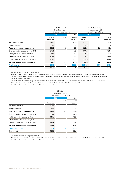|                                                     |                    | Dr. Klaus Miller<br>(Board member with<br>divisional responsibility) |                    |                    | Dr. Michael Pickel<br>(Board member with<br>divisional responsibility) |                    |
|-----------------------------------------------------|--------------------|----------------------------------------------------------------------|--------------------|--------------------|------------------------------------------------------------------------|--------------------|
|                                                     | 2021               |                                                                      | 2020               |                    | 2021                                                                   | 2020               |
|                                                     | in EUR<br>thousand | in $\%$                                                              | in EUR<br>thousand | in EUR<br>thousand | in $\%$                                                                | in EUR<br>thousand |
| Basic remuneration                                  | 520.0              |                                                                      | 420.0              | 520.0              |                                                                        | 440.0              |
| Fringe benefits <sup>1</sup>                        | 0.7                |                                                                      | 0.9                | 7.0                |                                                                        | 5.6                |
| <b>Fixed remuneration components</b>                | 520.7              | 43                                                                   | 420.9              | 527.0              | 42                                                                     | 445.6              |
| One-year variable remuneration (STI) <sup>2,3</sup> | 376.0              |                                                                      | 469.2              | 391.6              |                                                                        | 434.4              |
| Multi-year variable remuneration                    | 314.5              |                                                                      | 342.4              | 336.0              |                                                                        | 360.6              |
| Bonus bank 2017/2016 (3 years)                      | 105.8              |                                                                      | 130.6              | 118.6              |                                                                        | 136.0              |
| Share Awards 2016/2015 (4 years)                    | 208.7              |                                                                      | 211.8              | 217.4              |                                                                        | 224.6              |
| Variable remuneration components                    | 690.5              | 57                                                                   | 811.6              | 727.6              | 58                                                                     | 795.0              |
| <b>Total remuneration</b>                           | 1,211.2            | 100                                                                  | 1,232.5            | 1,254.6            | 100                                                                    | 1,240.6            |
| Service cost <sup>4</sup>                           | 136.1              |                                                                      | 76.5               | 203.9              |                                                                        | 180.5              |

<sup>1</sup> Excluding insurance under group contracts<br><sup>2</sup> The disclosure in the 2020 financial way ref

<sup>2</sup> The disclosure in the 2020 financial year refers to amounts paid out from the one-year variable remuneration for 2020 that was received in 2021, incl. seats held on Group bodies that were counted towards the amount paid out. Allowance for seats on Group bodies: Dr. Miller: EUR 75 thousand, Dr. Pickel EUR 4.4 thousand.

<sup>3</sup> Payments for seats held on Group bodies received in 2021 are counted towards the one-year variable remuneration (STI 2021) to be paid out in April 2022. Allowance for seats on Group bodies: Dr. Miller EUR 75 thousand, Dr. Pickel EUR 5 thousand.

<sup>4</sup> For details of the service cost see the table "Pension commitments"

|                                                   |                    | Silke Sehm<br>(Board member with<br>divisional responsibility) |                    |
|---------------------------------------------------|--------------------|----------------------------------------------------------------|--------------------|
|                                                   | 2021               |                                                                | 2020               |
|                                                   | in EUR<br>thousand | in $\frac{9}{6}$                                               | in EUR<br>thousand |
| Basic remuneration                                | 400.0              |                                                                | 320.0              |
| Fringe benefits <sup>1</sup>                      | 10.4               |                                                                | 14.8               |
| <b>Fixed remuneration components</b>              | 410.4              | 47                                                             | 334.8              |
| One-year variable remuneration (STI) <sup>2</sup> | 325.2              |                                                                | 323.4              |
| Multi-year variable remuneration                  | 141.6              |                                                                | 135.3              |
| Bonus bank 2017/2016 (3 years)                    |                    |                                                                |                    |
| Share Awards 2016/2015 (4 years)                  | 141.6              |                                                                | 135.3              |
| Variable remuneration components                  | 466.8              | 53                                                             | 458.7              |
| <b>Total remuneration</b>                         | 877.2              | 100                                                            | 793.5              |
| Service cost <sup>3</sup>                         | 188.7              |                                                                | 326.2              |

<sup>1</sup> Excluding insurance under group contracts<br><sup>2</sup> The disclosure in the 2020 financial way ref <sup>2</sup> The disclosure in the 2020 financial year refers to amounts paid out from the one-year variable remuneration for 2020 that was received in 2021.

<sup>3</sup> For details of the service cost see the table "Pension commitments"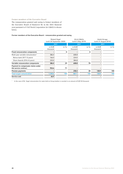#### Former members of the Executive Board

The remuneration granted and owing to former members of the Executive Board of Hannover Re in the 2021 financial year pursuant to § 162 Stock Corporation Act (AktG) is shown below.

#### Former members of the Executive Board – remuneration granted and owing

|                                                            | <b>Roland Vogel</b> | (until 30 September 2020) |                    | Ulrich Wallin<br>(until 5 May 2019) |                    | André Arrago<br>(until 31 August 2014) |
|------------------------------------------------------------|---------------------|---------------------------|--------------------|-------------------------------------|--------------------|----------------------------------------|
|                                                            | 2021                |                           |                    | 2021                                |                    | 2021                                   |
|                                                            | in EUR<br>thousand  | in $\%$                   | in EUR<br>thousand | in $\%$                             | in EUR<br>thousand | in $\frac{9}{6}$                       |
| <b>Fixed remuneration components</b>                       |                     | 0                         |                    | 0                                   |                    |                                        |
| Multi-year variable remuneration <sup>1</sup>              | 386.0               |                           | 608.8              |                                     |                    |                                        |
| Bonus bank 2017 (3 years)                                  | 166.0               |                           | 224.0              |                                     |                    |                                        |
| Share Awards 2016 (4 years)                                | 220.0               |                           | 384.8              |                                     |                    |                                        |
| Variable remuneration components                           | 386.0               | 29                        | 608.8              | 70                                  |                    |                                        |
| Payment to compensate claims under<br>the service contract | 954.6               | 71                        |                    |                                     |                    |                                        |
| <b>Pension payments</b>                                    |                     |                           | 258.3              | 30                                  | 128.9              | 100                                    |
| <b>Total target remuneration</b>                           | 1,340.6             | 100                       | 867.1              | 100                                 | 128.9              | 100                                    |
| Service cost                                               | 66.9                |                           |                    |                                     |                    |                                        |

<sup>1</sup> In the case of Mr. Vogel remuneration for seats held on Group bodies is counted in an amount of EUR 30 thousand.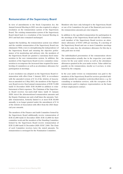## Remuneration of the Supervisory Board

In view of amendments to the Stock Corporation Act, the Annual General Meeting in 2021 was also required to adopt a resolution on the remuneration system of the Supervisory Board. The existing remuneration system of the Supervisory Board dated back to a resolution of the General Meeting in 2011 and had since remained unchanged.

Against this backdrop, the remuneration system was refined and the variable remuneration of the Supervisory Board was eliminated. With a view to strengthening the independence of the Supervisory Board and ensuring the objective performance of its monitoring and advisory role, the members of the Supervisory Board are granted a customary fixed remuneration in the new remuneration system. In addition, the members of the Supervisory Board receive committee remuneration to recompense the increased time required for membership of committees as well as an attendance allowance for participation in meetings.

A new resolution was adopted on the Supervisory Board remuneration with effect from 1 January 2021; in accordance with the amended version of § 14 of the Articles of Association as amended on 5 May 2021, the members of the Supervisory Board receive fixed annual remuneration of EUR 75,000 (until 31 December 2020: EUR 30,000) in addition to reimbursement of their expenses. The Chairman of the Supervisory Board receives two-and-a-half times (until 31 January 2020: twice) the aforementioned remuneration amounts and the Deputy Chairman one-and-a-half times the amounts. Variable remuneration, formerly limited to at most EUR 30,000 annually, is no longer granted under the amendment of § 14 of the Articles of Association with effect from the 2021 financial year onwards.

The members of the Finance and Audit Committee formed by the Supervisory Board additionally receive remuneration of EUR 25,000 (until 31 December 2020: EUR 15,000) for their committee work and the members of the Standing Committee formed by the Supervisory Board receive remuneration of EUR 15,000 (until 31 December 2020: EUR 7,500). The Chair of each Committee receives twice the stated amounts. No remuneration is envisaged for the Nomination Committee.

Members who have only belonged to the Supervisory Board or one of its Committees for part of the financial year receive the remuneration amounts pro rata temporis.

In addition to the specified remuneration for participation in the meetings of the Supervisory Board and the Committees, each member of the Supervisory Board receives an attendance allowance of EUR 1,000 per meeting. If a meeting of the Supervisory Board and one or more Committee meetings fall on the same day, the attendance allowance for this day is only paid once in total.

The individualised presentation of the remuneration shows the remuneration actually due in the respective year under review for the year under review as well as the attendance allowances granted in the year under review. Value-added tax payable on the remuneration, insofar as it accrues, is reimbursed by the company.

In the year under review no remuneration was paid to the members of the Supervisory Board for services provided individually outside the committee work described above, e.g. for consulting or mediation services, with the exception of the remuneration paid to employee representatives on the basis of their employment contract.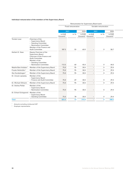### Individual remuneration of the members of the Supervisory Board

|                                      |                                                                                                                                                                         |                                 |                    |        | Remuneration for Supervisory Board work               |                       |                                 |
|--------------------------------------|-------------------------------------------------------------------------------------------------------------------------------------------------------------------------|---------------------------------|--------------------|--------|-------------------------------------------------------|-----------------------|---------------------------------|
|                                      |                                                                                                                                                                         |                                 | Fixed remuneration |        |                                                       | Variable remuneration |                                 |
|                                      |                                                                                                                                                                         | 2021                            |                    | 2020   |                                                       | 2021                  | 2020                            |
|                                      |                                                                                                                                                                         | in EUR<br>thousand <sup>1</sup> | in $\%$            | in EUR | in EUR<br>thousand <sup>1</sup> thousand <sup>1</sup> | in $\frac{0}{0}$      | in EUR<br>thousand <sup>1</sup> |
| Torsten Leue                         | Chairman of the<br>- Supervisory Board<br>- Standing Committee<br>- Nomination Committee<br>Member of the Finance and<br><b>Audit Committee</b>                         | 187.5                           | 55                 | 60.0   |                                                       | $\overline{0}$        | 58.7                            |
| Herbert K. Haas                      | Deputy Chairman of the<br>Supervisory Board<br>Chairman of the Finance and<br><b>Audit Committee</b><br>Member of the<br>- Standing Committee<br>- Nomination Committee | 112.5                           | 60                 | 45.0   |                                                       | $\mathbf 0$           | 44.0                            |
| Natalie Bani Ardalan <sup>2</sup>    | Member of the Supervisory Board                                                                                                                                         | 75.0                            | 95                 | 30.0   | $\overline{\phantom{m}}$                              | $\overline{0}$        | 29.4                            |
| Frauke Heitmüller <sup>2</sup>       | Member of the Supervisory Board                                                                                                                                         | 75.0                            | 95                 | 30.0   | $\equiv$                                              | $\overline{0}$        | 29.4                            |
| Ilka Hundeshagen <sup>2</sup>        | Member of the Supervisory Board                                                                                                                                         | 75.0                            | 95                 | 30.0   | $\equiv$                                              | $\overline{0}$        | 29.4                            |
| Dr. Ursula Lipowsky                  | Member of the<br>- Supervisory Board<br>- Finance and Audit Committee                                                                                                   | 75.0                            | 69                 | 30.0   |                                                       | $\overline{0}$        | 29.4                            |
| Dr. Michael Ollmann                  | Member of the Supervisory Board                                                                                                                                         | 75.0                            | 95                 | 30.0   | $\overline{\phantom{a}}$                              | $\Omega$              | 29.4                            |
| Dr. Andrea Pollak                    | Member of the<br>- Supervisory Board<br>- Nomination Committee                                                                                                          | 75.0                            | 95                 | 30.0   |                                                       | $\overline{0}$        | 29.4                            |
| Dr. Erhard Schipporeit Member of the | - Supervisory Board<br>- Standing Committee                                                                                                                             | 75.0                            | 78                 | 30.0   |                                                       | $\Omega$              | 29.4                            |
| <b>Total</b>                         |                                                                                                                                                                         | 825.0                           | 73                 | 315.0  | $\overline{\phantom{0}}$                              | $\Omega$              | 308.5                           |
|                                      |                                                                                                                                                                         |                                 |                    |        |                                                       |                       |                                 |

<sup>1</sup> Amounts excluding reimbursed VAT

<sup>2</sup> Employee representative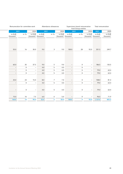| Total remuneration                        |                                                       | from Group entities | Supervisory board remuneration |                                                       | Attendance allowances |        |                                                       |                | Remuneration for committee work |
|-------------------------------------------|-------------------------------------------------------|---------------------|--------------------------------|-------------------------------------------------------|-----------------------|--------|-------------------------------------------------------|----------------|---------------------------------|
| 2021                                      | 2020                                                  |                     | 2021                           | 2020                                                  |                       | 2021   | 2020                                                  |                | 2021                            |
| in EUR<br>in EUR<br>thousand <sup>1</sup> | in EUR<br>thousand <sup>1</sup> thousand <sup>1</sup> | in $\%$             | in EUR                         | in EUR<br>thousand <sup>1</sup> thousand <sup>1</sup> | in %                  | in EUR | in EUR<br>thousand <sup>1</sup> thousand <sup>1</sup> | in %           | in EUR<br>thousand <sup>1</sup> |
|                                           |                                                       |                     |                                |                                                       |                       |        |                                                       |                |                                 |
|                                           |                                                       |                     |                                |                                                       |                       |        |                                                       |                |                                 |
| 351.5                                     | 92.0                                                  | 28                  | 100.0                          | 9.0                                                   | $\mathbf{3}$          | 9.0    | 30.0                                                  | 16             | 55.0                            |
|                                           |                                                       |                     |                                |                                                       |                       |        |                                                       |                |                                 |
| 186.5                                     | $ \,$                                                 | $\overline{0}$      | $\qquad \qquad -$              | 9.0                                                   | 5                     | 9.0    | 37.5                                                  | 35             | 65.0                            |
|                                           | $\overline{\phantom{0}}$                              | $\overline{0}$      | $ \,$                          | 4.0                                                   | $5\overline{)}$       | 4.0    | $\overline{\phantom{0}}$                              | $\mathbf 0$    | $\sim$                          |
| 79.0                                      | $\overline{\phantom{0}}$                              | $\overline{0}$      | $ \,$                          | 4.0                                                   | 5                     | 4.0    | $ \,$                                                 | $\mathbf 0$    | $\sim$                          |
| 79.0                                      | $ \,$                                                 | $\overline{0}$      | $ \,$                          | 4.0                                                   | $5\overline{)}$       |        | $-$                                                   | $\overline{0}$ | $\sim$                          |
|                                           |                                                       |                     |                                |                                                       |                       | 4.0    |                                                       |                |                                 |
| 108.0                                     | $ \,$                                                 | $\overline{0}$      | $ \,$                          | 7.0                                                   | $\overline{7}$        | 8.0    | 15.0                                                  | 23             | 25.0                            |
| 79.0                                      | $\overline{\phantom{0}}$                              | $\overline{0}$      | $ \,$                          | 4.0                                                   | $5\overline{)}$       | 4.0    | $\equiv$                                              | $\overline{0}$ | $\sim$                          |
|                                           |                                                       |                     |                                |                                                       |                       |        |                                                       |                |                                 |
| 79.0                                      | $\overline{\phantom{m}}$                              | $\Omega$            | $\overline{\phantom{m}}$       | 4.0                                                   | 5                     | 4.0    | $\overline{\phantom{a}}$                              | $\Omega$       | $\overline{\phantom{0}}$        |
|                                           |                                                       |                     |                                |                                                       |                       |        |                                                       |                |                                 |
| 96.0                                      | $\qquad \qquad -$                                     | $\Omega$            | $ \,$                          | 5.0                                                   | 6                     | 6.0    | 7.5                                                   | 16             | 15.0                            |
|                                           | 92.0 1,137.0                                          | 9                   | 100.0                          | 50.0                                                  |                       | 52.0   | 90.0                                                  |                | 160.0                           |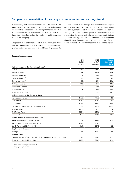## Comparative presentation of the change in remuneration and earnings trend

In conformity with the requirements of § 162 Para. 1 Sentence 2 No. 2 Stock Corporation Act (AktG), the following table presents a comparison of the change in the remuneration of the members of the Executive Board, the members of the Supervisory Board as well as the employees and the earnings trend of the company.

The presentation of the remuneration of the Executive Board and the Supervisory Board is geared to the remuneration granted and owing pursuant to § 162 Stock Corporation Act (AktG).

The presentation of the average remuneration of the employees is geared to the workforce of Hannover Re in Germany. The employee remuneration shown encompasses the personnel expense (excluding the expense for Executive Board remuneration) for wages and salaries, employer contributions to social security, the variable remuneration components allocable to the financial year as well as – in the case of sharebased payment – the amounts received in the financial year.

#### Comparative presentation

|                                                                         | 2021     | 2020     | Change    |
|-------------------------------------------------------------------------|----------|----------|-----------|
|                                                                         | in EUR   | in EUR   | 2020/2021 |
|                                                                         | thousand | thousand | in $%$    |
| Active members of the Supervisory Board <sup>1</sup>                    |          |          |           |
| <b>Torsten Leue</b>                                                     | 351.5    | 249.7    | 40.8      |
| Herbert K. Haas                                                         | 186.5    | 135.5    | 37.6      |
| Natalie Bani Ardalan <sup>2</sup>                                       | 79.0     | 63.4     | 24.6      |
| Frauke Heitmüller <sup>2</sup>                                          | 79.0     | 63.4     | 24.6      |
| Ilka Hundeshagen <sup>2</sup>                                           | 79.0     | 63.4     | 24.6      |
| Dr. Ursula Lipowsky                                                     | 108.0    | 81.4     | 32.7      |
| Dr. Michael Ollmann                                                     | 79.0     | 63.4     | 24.6      |
| Dr. Andrea Pollak                                                       | 79.0     | 63.4     | 24.6      |
| Dr. Erhard Schipporeit                                                  | 96.0     | 71.9     | 33.5      |
| <b>Active members of the Executive Board</b>                            |          |          |           |
| Jean-Jacques Henchoz                                                    | 1,667.0  | 1,716.7  | $-2.9$    |
| Sven Althoff                                                            | 1,262.3  | 1,153.2  | 9.5       |
| Claude Chèvre                                                           | 1,304.9  | 1,353.1  | $-3.6$    |
| Clemens Jungsthöfel (since 1 September 2020)                            | 733.2    | 227.7    | 222.0     |
| Dr. Klaus Miller                                                        | 1,211.2  | 1,232.5  | $-1.7$    |
| Dr. Michael Pickel                                                      | 1,254.6  | 1,240.6  | 1.1       |
| Silke Sehm                                                              | 877.2    | 793.5    | 10.5      |
| Former members of the Executive Board                                   |          |          |           |
| André Arrago (until 31 August 2014)                                     | 128.9    | 130.4    | $-1.2$    |
| Roland Vogel (until 30 September 2020)                                  | 1,340.6  | 1,320.3  | 1.5       |
| Ulrich Wallin (until 5. May 2019)                                       | 867.1    | 889.0    | $-2.5$    |
| <b>Employees in Germany</b>                                             |          |          |           |
| Average                                                                 | 108.5    | 107.7    | 0.8       |
| <b>Earnings trend</b>                                                   |          |          |           |
| Profit for the year of Hannover Rück SE according to HGB in EUR million | 701.2    | 386.8    | 81.3      |
| Group net income in EUR million                                         | 1,231.3  | 883.1    | 39.4      |

<sup>1</sup> Amounts excluding reimbursed VAT

<sup>2</sup> Employee representative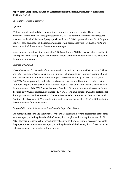## Report of the independent auditor on the formal audit of the remuneration report pursuant to § 162 Abs. 3 AktG

To Hannover Rück SE, Hanover

## **Opinion**

We have formally audited the remuneration report of the Hannover Rück SE, Hanover, for the financial year from January 1 through December 31, 2021 to determine whether the disclosures pursuant to § [Article] 162 Abs. [paragraphs] 1 and 2 AktG [Aktiengesetz: German Stock Corporation Act] have been made in the remuneration report. In accordance with § 162 Abs. 3 AktG, we have not audited the content of the remuneration report.

In our opinion, the information required by § 162 Abs. 1 and 2 AktG has been disclosed in all material respects in the accompanying remuneration report. Our opinion does not cover the content of the remuneration report.

## Basis for the opinion

We conducted our formal audit of the remuneration report in accordance with § 162 Abs. 3 AktG and IDW [Institut der Wirtschaftsprüfer: Institute of Public Auditors in Germany] Auditing Standard: The formal audit of the remuneration report in accordance with § 162 Abs. 3 AktG (IDW AuS 870). Our responsibility under that provision and that standard is further described in the "Auditor's Responsibilies" section of our auditor's report. As an audit firm, we have complied with the requirements of the IDW Quality Assurance Standard: Requirements to quality control for audit firms [IDW Qualitätssicherungsstandard - IDW QS 1]. We have complied with the professional duties pursuant to the the Professional Code for German Public Auditors and German Chartered Auditors [Berufssatzung für Wirtschaftsprüfer und vereidigte Buchprüfer - BS WP/vBP], including the requirements for independence.

## Responsibility of the Management Board and the Supervisory Board

The management board and the supervisory board are responsible for the preparation of the remuneration report, including the related disclosures, that complies with the requirements of § 162 AktG. They are also responsible for such internal control as they determine is necessary to enable the preparation of a remuneration report, including the related disclosures, that is free from material misstatement, whether due to fraud or error.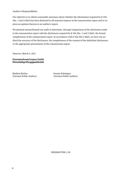## Auditor's Responsibilities

Our objective is to obtain reasonable assurance about whether the information required by § 162 Abs. 1 and 2 AktG has been disclosed in all material respects in the remuneration report and to express an opinion thereon in an auditor's report.

We planned and performed our audit to determine, through comparisson of the disclosures made in the remuneration report with the disclosures required by § 162 Abs. 1 and 2 AktG, the formal completeness of the remuneration report. In accordance with § 162 Abs 3 AktG, we have not audited the accuracy of the disclosures, the completeness of the content of the individual disclosures, or the appropriate presentation of the remuneration report.

Hanover, March 9, 2022

PricewaterhouseCoopers GmbH Wirtschaftsprüfungsgesellschaft

Mathias Röcker Dennis Schnittger

(German Public Auditor) (German Public Auditor)

DEE00047998.1.30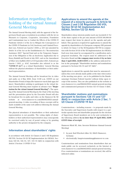## <span id="page-34-0"></span>Information regarding the holding of the virtual Annual General Meeting

The Annual General Meeting shall, with the approval of the Supervisory Board, pass a resolution in accordance with the Act on Measures in Corporate, Cooperative, Association, Foundation and Condominium Law to Combat the Effects of the COVID-19 Pandemic (Article 2 of the Act to Mitigate the Consequences of the COVID-19 Pandemic in Civil, Insolvency and Criminal Procedure Law, Federal Law Gazette I 2020, p. 569, last amended by Article 16 of the Act on the Establishment of a "Reconstruction Assistance 2021" Special Fund and on the Temporary Suspension of the Obligation to File an Insolvency Application due to Heavy Rainfall and Floods in July 2021, and on the Amendment of Other Acts (AufbhG 2021) of 10 September 2021, Federal Law Gazette I 2021, p. 4147; hereinafter also referred to as the "COVID-19 Act") as a virtual Shareholders' General Meeting without the physical attendance of shareholders or their authorised representatives.

The Annual General Meeting will be broadcast live in video and audio on 4 May 2022, from 11:00 a.m. (CEST) on our Shareholder Portal at https://hv-hannover-rueck.link-apps.de/ imeet. Shareholders wishing to participate in the virtual Annual General Meeting must register in advance (see "Registration for the virtual Annual General Meeting"). The opening of the Annual General Meeting by the Chair of the meeting and the presentation given by the Executive Board will also be broadcast live in audio and video on the Hannover Re SE website at [www.hannover-re.com/286045/2022-annual](https://www.hannover-re.com/286045/2022-annual-general-meetin)[general-meetin](https://www.hannover-re.com/286045/2022-annual-general-meetin)g. A video recording of these excerpts will be made available at the same web address following the Annual General Meeting.

The physical attendance of shareholders or their authorised representatives is not possible. The voting rights of shareholders or their authorised representatives may consequently be exercised solely by way of postal voting or by granting authority to the proxies designated by the company.

## Information about shareholders' rights

in accordance with Article 56 Clauses 2 and 3 SE Regulation (SE-VO), Section 50 (2) SE Implementation Act (SEAG), Sections 122 (2), 126 (1), 127, 131 (1) AktG in conjunction with Article 2 Section 1 COVID-19 Act

## Applications to amend the agenda at the request of a minority pursuant to Article 56 Clauses 2 and 3 SE Regulation (SE-VO), Section 50 (2) SE Implementation Act (SEAG), Section 122 (2) AktG

Shareholders whose interests jointly reach one twentieth (5 %) of the share capital or the pro rata amount of EUR 500,000.00 may request that items be placed on the agenda and published. This quorum is required for applications to amend the agenda by shareholders of a European company (SE) pursuant to Article 56 Clause 3 of the SE Regulation (SE-VO) in conjunction with Section 50 (2) of the SE Implementation Act (SEAG). Each new item must be accompanied by a justification and a proposed resolution. The request must be addressed to the Executive Board and the company must receive it by no later than 3 April 2022, 24:00 (CEST) at the address indicated below in the paragraph "Shareholder motions and nominations pursuant to Sections126 (1) and 127 AktG".

Applications to amend the agenda that must be announced – unless they were already made public at the time when notice of the meeting was given – are to be published in the Bundesanzeiger (German Federal Gazette) without delay upon receipt of the motion. They are also published on the website at [www.hannover-re.com/286045/2022-annual-general-meeting](https://www.hannover-re.com/286045/2022-annual-general-meeting%20and%20communicated%20pursuant%20to%20Section%20125%20(1)%20Clause%203%20AktG) [and communicated pursuant to Section 125 \(1\) Clause 3 AktG](https://www.hannover-re.com/286045/2022-annual-general-meeting%20and%20communicated%20pursuant%20to%20Section%20125%20(1)%20Clause%203%20AktG).

## Shareholder motions and nominations pursuant to Sections 126 (1) and 127 AktG in conjunction with Article 2 Sec. 1 (2) Clause 3 COVID-19 Act

Countermotions – including reasons – to proposals made by the Executive and Supervisory boards with respect to a particular agenda item and shareholder proposals for the election of Supervisory Board members are to be sent exclusively to the following address by no later than 19 April 2022, 24:00 (CEST) (time of receipt):

Hannover Rück SE, Attn. Investor Relations (Annual General Meeting)

- by post: Karl-Wiechert-Allee 50, 30625 Hannover, Germany
- electronically: hauptversammlung@hannover-re.com

Countermotions and nominations from shareholders that are made public can be accessed exclusively on the Internet at [www.hannover-re.com/286045/2022-annual-general-meeting](https://www.hannover-re.com/286045/2022-annual-general-meeting). If no countermotions or nominations are received, this will be indicated online.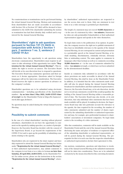No countermotions or nominations can be put forward during the virtual Annual General Meeting. Motions and nominations from shareholders that are made accessible in accordance with Section 126 or Section 127 AktG will be deemed to have submitted to the AGM if the shareholder submitting the motion or nomination has had their identity duly verified and is registered for the Annual General Meeting.

## Shareholders' right to ask questions pursuant to Section 131 (1) AktG in conjunction with Article 2 Section 1 para. 2 sentence 1 no. 3, sentence 2 COVID-19 Act

Shareholders have the opportunity to ask questions using electronic communication. Shareholders must register in advance to take advantage of this opportunity (see under "Registration for the virtual Annual General Meeting"). This includes the right to receive an answer. The Executive Board will decide at its own discretion how to respond to questions. The Executive Board may summarise questions and their answers as it deems appropriate. Questions asked in foreign languages will not be taken into consideration. The Executive Board reserves the right to answer questions in advance on the company's website.

Shareholder questions are to be submitted using electronic communication – including specification of the shareholder number – by no later than 2 May 2022, 24:00 (CEST) (time of receipt) via the Shareholder Portal at [https://hv-hannover](https://www.hannover-re.com/286045/2022-annual-general-meeting)[rueck.link-apps.de/imeet](https://www.hannover-re.com/286045/2022-annual-general-meeting) .

No questions may be asked during the virtual Annual General Meeting.

## Possibility to submit comments

In the case of a virtual shareholders' meeting without physical attendance, shareholders do not have the opportunity to comment on the agenda by making speeches, as a matter of principle. However, the Executive Board has decided, with the consent of the Supervisory Board, to go beyond the requirements of the COVID-19 Act and to open up the possibility of submitting comments relating to the agenda.

Shareholders who are registered in the share register and have duly registered to attend the Annual General Meeting (see below under "Registration for the virtual Annual General Meeting"), or their authorised representatives, may submit comments to the company in text form or as a video in German no later than Saturday, 30 April 2022, 24:00 (CEST), via the Shareholder Portal. For online access, please see the instructions in the section "Registration for the virtual Annual General Meeting", whereby shareholders' authorised representatives are requested to use the access data sent to them. Only one statement in text form or as a video message is permitted per shareholder.

The length of a statement may not exceed 10,000 characters or – in the case of a statement by video – two minutes. Statements by video are only permissible if shareholders or their authorised representatives appear and speaks in the video themselves.

No legal claim exists to the publication of an opinion. In particular, the company reserves the right not to publish statements if they bear no identifiable relevance to the agenda of the Annual General Meeting, do not correspond in content and presentation to a permissible speech at the Annual General Meeting, or include insulting, discriminatory, criminally relevant, obviously false or misleading content. The same applies to comments in languages other than German as well as to comments exceeding 10,000 characters or – in the case of comments submitted by video – two minutes in length, or which have not been submitted by the aforementioned deadline.

Insofar as comments duly submitted in accordance with the above provisions are made accessible in ahead of the Annual General Meeting, this shall be done on the Shareholder Portal. In addition, it is intended that the video statements made available will also be played during the Annual General Meeting broadcast for shareholders and their authorised representatives. However, the Executive Board may, at its sole discretion, decide not to record any statements overall if this would jeopardize the holding of the Annual General Meeting within a reasonable period of time. The Executive Board may also decide, at its sole discretion, that only individual video statements that have been made available will be played. In making its decision, the Supervisory Board may take into particular account the relevance to the agenda, the time required for the recording, the number of video statements submitted and the number of shares represented by the submitting shareholder or authorised representative and may, for example, give preferential treatment to shareholders' associations or investment companies. No legal claim exists to the recording of a video statement.

After due examination, comments will be made available on the Shareholder Portal until the end of the Annual General Meeting, disclosing the name and place of residence or registered office of the submitting shareholder or authorised representative, or will be posted during the Annual General Meeting. The prerequisite for this is in each case that the respective shareholders or authorised representatives declare their agreement to this.

Any motions, nominations, questions and objections to resolutions of the Annual General Meeting in the submitted statements will not be taken into consideration. These are to be submitted exclusively by the means described in this convening document.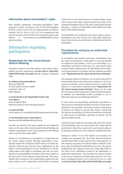## <span id="page-36-0"></span>Information about shareholders' rights

More detailed explanations concerning shareholders' rights pursuant to Article 56 Clauses 2 and 3 of the SE Regulation (SE-VO), Section 50 (2) of the SE Implementation Act (SEAG), Sections 122 (2), 126 (1), 127, 131 (1) in conjunction with Article 2 Section 1 of the COVID-19 Act can also be found on the Internet at [www.hannover-re.com/286045/2022-annual](https://www.hannover-re.com/286045/2022-annual-general-meeting)[general-meeting.](https://www.hannover-re.com/286045/2022-annual-general-meeting)

## Information regarding participation

## Registration for the virtual Annual General Meeting

Pursuant to Article 16 (1) of the Articles of Association, shareholders who have registered by no later than 27 April 2022, 24:00 (CEST) (time of receipt) with the company's registered office

#### in writing at the postal address:

Hannover Rück SE c/o Link Market Services GmbH Landshuter Allee 10 80637 Munich

#### or electronically in the Shareholder Portal at the web address: (from 24 March 2022) https://hv-hannover-rueck.link-apps.de/imeet

or under the link:

[www.hannover-re.com/286045/2022-annual-general-meeting](https://www.hannover-re.com/286045/2022-annual-general-meeting)

#### or electronically at the e-mail address:

hannoverrueck.hv@linkmarketservices.de

and who are entered in the share register for the registered shares at the time of the virtual Annual General Meeting are entitled to participate in the virtual Annual General Meeting and to exercise their voting rights.

Shares are not blocked as a consequence of registration for the virtual Annual General Meeting; shareholders consequently remain free to dispose of their shares even after registration. Disposal may, however, have implications for the right to virtual participation and the entitlement to exercise voting rights as the rights to participate and vote are determined by the shareholding according to the share register at the time of the virtual Annual General Meeting. This shareholding will correspond to the shareholding registered in the share register as of 27 April 2022, 24:00 (CEST) (= technical

record date) as, for technical reasons, no further transfer entries will be made in the share register between the expiry of the registration deadline and the end of the virtual Annual General Meeting, i.e. between 27 April 2022, 24:00 (CEST) and 4 May 2022, 24:00 (CEST) inclusive.

If intermediaries are registered in the share register, such intermediaries may only exercise the voting right attached to shares they do not own on the basis of authorisation from the shareholder.

## Procedure for voting by an authorised representative

In accordance with statutory provisions, shareholders have the option of having their voting right be exercised through an authorised representative, such as an intermediary or a shareholder association. In this case, too, care must be taken to ensure timely registration by the shareholder or the authorised representative in accordance with the conditions specified under "Registration for the virtual Annual General Meeting".

The granting of power of attorney, its revocation and proof of authorisation must be provided to the company in text form. A power of attorney can be realised by post or e-mail to the address or e-mail address indicated under "Registration for the virtual Annual General Meeting". Please use the reply form enclosed with the registration documents for this purpose. In addition, the Shareholder Portal is available to you at [https://hv-hannover-rueck.link-apps.de/imeet.](https://hv-hannover-rueck.link-apps.de/imeet/login.php)

In cases where an intermediary, shareholder association or other person or institution specified in Section 135 (8) AktG is authorised, the procedure, form and revocation of the power of attorney are subject to special rules. Please consult with the relevant intermediary, the relevant shareholder association or other person or institution specified in Section 135 (8) AktG for further details.

Authorised representatives cannot physically attend the Annual General Meeting. They can only exercise the voting right for shareholders whom they represent by way of postal voting or by granting a (sub-)proxy to the company's designated proxies.

Pursuant to Article 16 (3) of the Articles of Association, the company has designated Mr. Axel Bock, Investor Relations, and Mr. Rainer Filitz, Group Legal Services, both employees of the company, as proxies each with the right to authorise a subproxy who can similarly be authorised to cast votes. The proxies designated by the company exercise the voting right solely on the basis of the instructions issued by the shareholder or authorised representative. The granting of as well as changes to the power of attorney and instructions issued to the company's designated proxies can be effected by post or e-mail until no later than 3 May 2022, 24:00 (CEST) (time of receipt)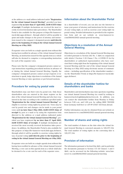at the address or e-mail address indicated under "Registration for the virtual Annual General Meeting", provided you have registered by no later than 27 April 2022, 24:00 (CEST) (time of receipt). If multiple declarations are received the most recently received declaration takes precedence. The Shareholder Portal is also available for this purpose at https://hv-hannoverrueck.link-apps.de/imeet , through which it will be possible to grant and make changes to the power of attorney and instructions issued to the company's designated proxies until directly prior to the beginning of voting in the virtual Annual General Meeting on 4 May 2022.

If separate votes are held on a single agenda item without this having been notified in advance of the virtual Annual General Meeting, an instruction issued for this agenda item as a whole will also be deemed to comprise a corresponding instruction for each of the separate votes.

Please note that the company's designated proxies cannot accept instructions regarding procedural motions in advance of or during the virtual Annual General Meeting. Equally, the company's designated proxies cannot accept requests or instructions to speak, lodge objections to resolutions of the Annual General Meeting or raise questions or put forward motions.

## Procedure for voting by postal vote

Shareholders may cast their votes by postal vote. Only those shareholders who are entered in the share register on the date of the virtual Annual General Meeting and who have registered in due time according to the conditions specified under "Registration for the virtual Annual General Meeting" are eligible to exercise voting rights by postal vote. Votes may be cast by postal vote and changes can be made to your postal votes until no later than 3 May 2022, 24:00 (CEST) (time of receipt) by post or e-mail or by using the registration form directed to the address or e-mail address indicated under "Registration for the virtual Annual General Meeting", provided you have registered by no later than 27 April 2022, 24:00 (CEST) (time of receipt). If multiple declarations are received the most recently received declaration takes precedence. In addition, the Shareholder Portal is also available for this purpose at https://hv-hannover-rueck.link-apps.de/imeet, through which it will be possible to exercise voting rights by way of postal voting until directly prior to the beginning of voting in the virtual Annual General Meeting on 4 May 2022.

If separate votes are held on a single agenda item without this having been notified in advance of the virtual Annual General Meeting, a vote cast on this agenda item as a whole shall also be deemed to be a vote cast for each of the separate votes.

## Information about the Shareholder Portal

As a shareholder of record, you can also use the Internet to issue your power of attorney and instructions for the exercise of your voting right, as well as exercise your voting right via postal voting. Detailed information is provided in the registration form and on our website at. [www.hannover-re.](https://www.hannover-re.com/286045/2022-annual-general-meeting) [com/286045/2022-annual-general-meeting.](https://www.hannover-re.com/286045/2022-annual-general-meeting)

## Objections to a resolution of the Annual General Meeting

Objections to a resolution of the Annual General Meeting may recorded pursuant to Section 245 No. 1 AktG in conjunction with Article 2 Section 1 (2) Clause 1 No. 4 COVID-19 Act by shareholders or authorised representatives who have exercised their voting right from the beginning of the virtual Annual General Meeting until the end of the virtual Annual General Meeting on 4 May 2022 using electronic means of communication – including specification of the shareholder number – via the Shareholder Portal at [https://hv-hannover-rueck.link](https://hv-hannover-rueck.link-apps.de/imeet/login.php)[apps.de/imeet](https://hv-hannover-rueck.link-apps.de/imeet/login.php).

## Details of the shareholder hotline for shareholders and banks

Shareholders and intermediaries may raise questions regarding our virtual Annual General Meeting via e-mail by writing to hannoverrueck.hv@linkmarketservices.de. In addition, you can contact the shareholder hotline from Monday to Friday between 9:00 a.m. and 5:00 p.m. by calling 0800 7823200 from Germany (toll-free) or +49 89 21027 333 from abroad.

Further information can also be obtained from our website at: [www.hannover-re.com/286045/2022-annual-general-meetin](https://www.hannover-re.com/286045/2022-annual-general-meetin)g

## Number of shares and voting rights

The total number of shares on the date when the virtual Annual General Meeting is convened amounts to 120,597,134. The total number of voting rights on the convening date is 120,597,134.

## Provision of information

The information pursuant to Section124a AktG, and in particular the documents pursuant to Section 175 (2) Clauses 1 and 3 AktG, can be accessed via the following website: [www.han](https://www.hannover-re.com/286045/2022-annual-general-meeting)[nover-re.com/286045/2022-annual-general-meeting](https://www.hannover-re.com/286045/2022-annual-general-meeting)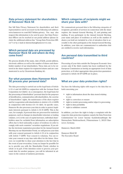## Data privacy statement for shareholders of Hannover Rück SE

Our full Data Privacy Statement for shareholders and their representatives can be accessed via the following web address: www.hannover-re.com/182774/data-privacy. You may also request this information to be sent by post. Our Data Protection Officer can be reached at our postal address (please include the additional address line "Group Data Protection Officer") or by e-mail at datenschutz@hannover-re.com.

## Which personal data are processed by Hannover Rück SE and where do they come from?

We process details of the name, date of birth, postal address, electronic address as well as the number of shares and shareholder number of our shareholders. These data are to be entered in the share register for registered shares and are communicated to us by Clearstream Banking AG.

## For what purposes does Hannover Rück SE process your personal data?

The data processing is carried out on the legal basis of Article 6 (1) c) and (4) GDPR in conjunction with the German Stock Corporation Act (AktG). As a consequence, the legal basis for the processing of shareholders' personal data for the purposes of identification, communication with shareholders, the exercise of shareholders' rights, the maintenance of the share register and for cooperation with shareholders is Article 6 (1) c) GDPR in conjunction with Section 67e (1) AktG. In specific cases, Hannover Re also processes your data in order to protect legitimate interests pursuant to Article 6 (1) f) GDPR. This is the case, for example, if personal data are processed for statistical purposes, such as changes in shareholder structure or trading volumes, or if, in the case of capital increases, individual shareholders must be excluded from information on subscription offers due to their nationality or place of residence in order to comply with such countries' securities regulations. If you utilise the electronic registration procedure for the Annual General Meeting via our Shareholder Portal, we will process your data with your consent pursuant to Article 6 (1) a) in conjunction with Article 7 GDPR. Your consent is voluntary. You can revoke your consent at any time with effect for the future. However, we would like to draw your attention to the fact that in the event of your revocation, it may no longer be possible for us to provide you with the Shareholder Portal, whether in whole or in part. If the intention exists to process your personal data for another purpose, you will be informed in advance in the context of statutory provisions.

## Which categories of recipients might we share your data with?

We communicate personal data to the following categories of recipients: providers of services in connection with the share register, the Annual General Meeting, IT, and printing and mailing. If you participate in the Annual General Meeting, your name and place of residence as well as the number of shares you hold are included in a list of attendees that is accessible to the other participants at the Annual General Meeting. In addition, your data are communicated to authorities that are entitled to receive such information.

## Are personal data transmitted to third countries?

Processing of your data outside the European Economic Area occurs only if the third country has been confirmed by the European Commission as having an appropriate level of data protection, or if other appropriate data protection guarantees pursuant to Article 44-49 GDPR are in place.

## What are your data protection rights?

You have the following rights with respect to the data that we hold concerning you:

- right to information about the data stored relating to you
- right to correction or erasure
- right to restrict processing and/or object to processing
- right to data portability
- right to withdraw consent

In addition, you have the right to lodge a complaint with the respective data protection regulator, namely the Data Protection Commissioner for Lower Saxony (Landesbeauftragte für Datenschutz Niedersachsen), Prinzenstrasse 5, 30159 Hannover, Germany.

Hannover, March 2022

Hannover Rück SE The Executive Board